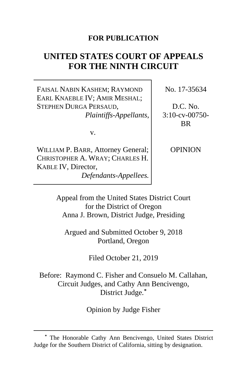# **FOR PUBLICATION**

# **UNITED STATES COURT OF APPEALS FOR THE NINTH CIRCUIT**

FAISAL NABIN KASHEM; RAYMOND EARL KNAEBLE IV; AMIR MESHAL; STEPHEN DURGA PERSAUD, *Plaintiffs-Appellants*,

v.

WILLIAM P. BARR, Attorney General; CHRISTOPHER A. WRAY; CHARLES H. KABLE IV, Director, *Defendants-Appellees.*

No. 17-35634

D.C. No. 3:10-cv-00750- BR

OPINION

Appeal from the United States District Court for the District of Oregon Anna J. Brown, District Judge, Presiding

Argued and Submitted October 9, 2018 Portland, Oregon

Filed October 21, 2019

Before: Raymond C. Fisher and Consuelo M. Callahan, Circuit Judges, and Cathy Ann Bencivengo, District Judge.**[\\*](#page-0-0)**

Opinion by Judge Fisher

<span id="page-0-0"></span>**<sup>\*</sup>** The Honorable Cathy Ann Bencivengo, United States District Judge for the Southern District of California, sitting by designation.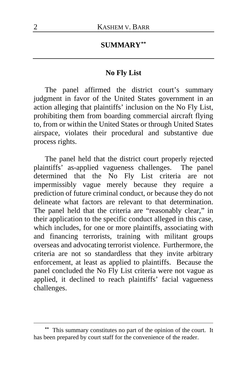# **SUMMARY[\\*\\*](#page-1-0)**

#### **No Fly List**

The panel affirmed the district court's summary judgment in favor of the United States government in an action alleging that plaintiffs' inclusion on the No Fly List, prohibiting them from boarding commercial aircraft flying to, from or within the United States or through United States airspace, violates their procedural and substantive due process rights.

The panel held that the district court properly rejected plaintiffs' as-applied vagueness challenges. The panel determined that the No Fly List criteria are not impermissibly vague merely because they require a prediction of future criminal conduct, or because they do not delineate what factors are relevant to that determination. The panel held that the criteria are "reasonably clear," in their application to the specific conduct alleged in this case, which includes, for one or more plaintiffs, associating with and financing terrorists, training with militant groups overseas and advocating terrorist violence. Furthermore, the criteria are not so standardless that they invite arbitrary enforcement, at least as applied to plaintiffs. Because the panel concluded the No Fly List criteria were not vague as applied, it declined to reach plaintiffs' facial vagueness challenges.

<span id="page-1-0"></span>This summary constitutes no part of the opinion of the court. It has been prepared by court staff for the convenience of the reader.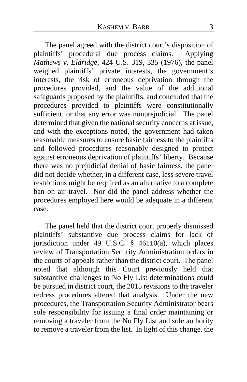The panel agreed with the district court's disposition of plaintiffs' procedural due process claims. Applying *Mathews v. Eldridge*, 424 U.S. 319, 335 (1976), the panel weighed plaintiffs' private interests, the government's interests, the risk of erroneous deprivation through the procedures provided, and the value of the additional safeguards proposed by the plaintiffs, and concluded that the procedures provided to plaintiffs were constitutionally sufficient, or that any error was nonprejudicial. The panel determined that given the national security concerns at issue, and with the exceptions noted, the government had taken reasonable measures to ensure basic fairness to the plaintiffs and followed procedures reasonably designed to protect against erroneous deprivation of plaintiffs' liberty. Because there was no prejudicial denial of basic fairness, the panel did not decide whether, in a different case, less severe travel restrictions might be required as an alternative to a complete ban on air travel. Nor did the panel address whether the procedures employed here would be adequate in a different case.

The panel held that the district court properly dismissed plaintiffs' substantive due process claims for lack of jurisdiction under 49 U.S.C. § 46110(a), which places review of Transportation Security Administration orders in the courts of appeals rather than the district court. The panel noted that although this Court previously held that substantive challenges to No Fly List determinations could be pursued in district court, the 2015 revisions to the traveler redress procedures altered that analysis. Under the new procedures, the Transportation Security Administrator bears sole responsibility for issuing a final order maintaining or removing a traveler from the No Fly List and sole authority to remove a traveler from the list. In light of this change, the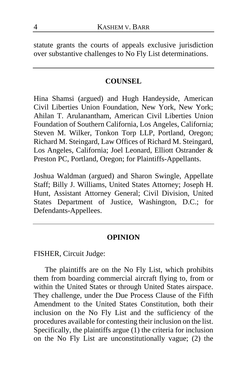statute grants the courts of appeals exclusive jurisdiction over substantive challenges to No Fly List determinations.

#### **COUNSEL**

Hina Shamsi (argued) and Hugh Handeyside, American Civil Liberties Union Foundation, New York, New York; Ahilan T. Arulanantham, American Civil Liberties Union Foundation of Southern California, Los Angeles, California; Steven M. Wilker, Tonkon Torp LLP, Portland, Oregon; Richard M. Steingard, Law Offices of Richard M. Steingard, Los Angeles, California; Joel Leonard, Elliott Ostrander & Preston PC, Portland, Oregon; for Plaintiffs-Appellants.

Joshua Waldman (argued) and Sharon Swingle, Appellate Staff; Billy J. Williams, United States Attorney; Joseph H. Hunt, Assistant Attorney General; Civil Division, United States Department of Justice, Washington, D.C.; for Defendants-Appellees.

#### **OPINION**

FISHER, Circuit Judge:

The plaintiffs are on the No Fly List, which prohibits them from boarding commercial aircraft flying to, from or within the United States or through United States airspace. They challenge, under the Due Process Clause of the Fifth Amendment to the United States Constitution, both their inclusion on the No Fly List and the sufficiency of the procedures available for contesting their inclusion on the list. Specifically, the plaintiffs argue (1) the criteria for inclusion on the No Fly List are unconstitutionally vague; (2) the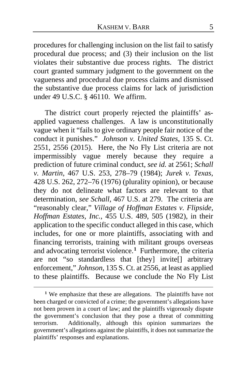procedures for challenging inclusion on the list fail to satisfy procedural due process; and (3) their inclusion on the list violates their substantive due process rights. The district court granted summary judgment to the government on the vagueness and procedural due process claims and dismissed the substantive due process claims for lack of jurisdiction under 49 U.S.C. § 46110. We affirm.

The district court properly rejected the plaintiffs' asapplied vagueness challenges. A law is unconstitutionally vague when it "fails to give ordinary people fair notice of the conduct it punishes." *Johnson v. United States*, 135 S. Ct. 2551, 2556 (2015). Here, the No Fly List criteria are not impermissibly vague merely because they require a prediction of future criminal conduct, *see id.* at 2561; *Schall v. Martin*, 467 U.S. 253, 278–79 (1984); *Jurek v. Texas*, 428 U.S. 262, 272–76 (1976) (plurality opinion), or because they do not delineate what factors are relevant to that determination, *see Schall*, 467 U.S. at 279. The criteria are "reasonably clear," *Village of Hoffman Estates v. Flipside, Hoffman Estates, Inc.*, 455 U.S. 489, 505 (1982), in their application to the specific conduct alleged in this case, which includes, for one or more plaintiffs, associating with and financing terrorists, training with militant groups overseas and advocating terrorist violence.**[1](#page-4-0)** Furthermore, the criteria are not "so standardless that [they] invite[] arbitrary enforcement," *Johnson*, 135 S. Ct. at 2556, at least as applied to these plaintiffs. Because we conclude the No Fly List

<span id="page-4-0"></span>**<sup>1</sup>** We emphasize that these are allegations. The plaintiffs have not been charged or convicted of a crime; the government's allegations have not been proven in a court of law; and the plaintiffs vigorously dispute the government's conclusion that they pose a threat of committing terrorism. Additionally, although this opinion summarizes the government's allegations against the plaintiffs, it does not summarize the plaintiffs' responses and explanations.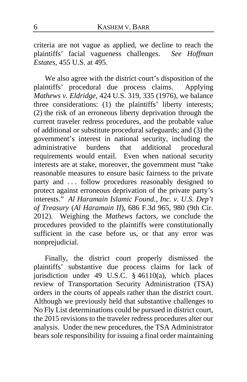criteria are not vague as applied, we decline to reach the plaintiffs' facial vagueness challenges. *See Hoffman Estates*, 455 U.S. at 495.

We also agree with the district court's disposition of the plaintiffs' procedural due process claims. Applying *Mathews v. Eldridge*, 424 U.S. 319, 335 (1976), we balance three considerations: (1) the plaintiffs' liberty interests; (2) the risk of an erroneous liberty deprivation through the current traveler redress procedures, and the probable value of additional or substitute procedural safeguards; and (3) the government's interest in national security, including the administrative burdens that additional procedural requirements would entail. Even when national security interests are at stake, moreover, the government must "take reasonable measures to ensure basic fairness to the private party and ... follow procedures reasonably designed to protect against erroneous deprivation of the private party's interests." *Al Haramain Islamic Found., Inc. v. U.S. Dep't of Treasury* (*Al Haramain II*), 686 F.3d 965, 980 (9th Cir. 2012). Weighing the *Mathews* factors, we conclude the procedures provided to the plaintiffs were constitutionally sufficient in the case before us, or that any error was nonprejudicial.

Finally, the district court properly dismissed the plaintiffs' substantive due process claims for lack of jurisdiction under 49 U.S.C. § 46110(a), which places review of Transportation Security Administration (TSA) orders in the courts of appeals rather than the district court. Although we previously held that substantive challenges to No Fly List determinations could be pursued in district court, the 2015 revisions to the traveler redress procedures alter our analysis. Under the new procedures, the TSA Administrator bears sole responsibility for issuing a final order maintaining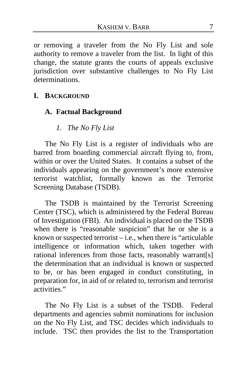or removing a traveler from the No Fly List and sole authority to remove a traveler from the list. In light of this change, the statute grants the courts of appeals exclusive jurisdiction over substantive challenges to No Fly List determinations.

#### **I. BACKGROUND**

### **A. Factual Background**

### *1. The No Fly List*

The No Fly List is a register of individuals who are barred from boarding commercial aircraft flying to, from, within or over the United States.It contains a subset of the individuals appearing on the government's more extensive terrorist watchlist, formally known as the Terrorist Screening Database (TSDB).

The TSDB is maintained by the Terrorist Screening Center (TSC), which is administered by the Federal Bureau of Investigation (FBI). An individual is placed on the TSDB when there is "reasonable suspicion" that he or she is a known or suspected terrorist  $-$  i.e., when there is "articulable" intelligence or information which, taken together with rational inferences from those facts, reasonably warrant[s] the determination that an individual is known or suspected to be, or has been engaged in conduct constituting, in preparation for, in aid of or related to, terrorism and terrorist activities."

The No Fly List is a subset of the TSDB.Federal departments and agencies submit nominations for inclusion on the No Fly List, and TSC decides which individuals to include.TSC then provides the list to the Transportation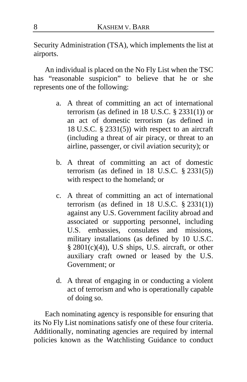Security Administration (TSA), which implements the list at airports.

An individual is placed on the No Fly List when the TSC has "reasonable suspicion" to believe that he or she represents one of the following:

- a. A threat of committing an act of international terrorism (as defined in 18 U.S.C. § 2331(1)) or an act of domestic terrorism (as defined in 18 U.S.C. § 2331(5)) with respect to an aircraft (including a threat of air piracy, or threat to an airline, passenger, or civil aviation security); or
- b. A threat of committing an act of domestic terrorism (as defined in  $18$  U.S.C.  $\S$   $2331(5)$ ) with respect to the homeland; or
- c. A threat of committing an act of international terrorism (as defined in  $18$  U.S.C.  $\S$  2331(1)) against any U.S. Government facility abroad and associated or supporting personnel, including U.S. embassies, consulates and missions, military installations (as defined by 10 U.S.C. § 2801(c)(4)), U.S ships, U.S. aircraft, or other auxiliary craft owned or leased by the U.S. Government; or
- d. A threat of engaging in or conducting a violent act of terrorism and who is operationally capable of doing so.

Each nominating agency is responsible for ensuring that its No Fly List nominations satisfy one of these four criteria. Additionally, nominating agencies are required by internal policies known as the Watchlisting Guidance to conduct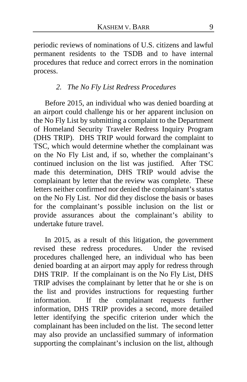periodic reviews of nominations of U.S. citizens and lawful permanent residents to the TSDB and to have internal procedures that reduce and correct errors in the nomination process.

### *2. The No Fly List Redress Procedures*

Before 2015, an individual who was denied boarding at an airport could challenge his or her apparent inclusion on the No Fly List by submitting a complaint to the Department of Homeland Security Traveler Redress Inquiry Program (DHS TRIP).DHS TRIP would forward the complaint to TSC, which would determine whether the complainant was on the No Fly List and, if so, whether the complainant's continued inclusion on the list was justified.After TSC made this determination, DHS TRIP would advise the complainant by letter that the review was complete.These letters neither confirmed nor denied the complainant's status on the No Fly List.Nor did they disclose the basis or bases for the complainant's possible inclusion on the list or provide assurances about the complainant's ability to undertake future travel.

In 2015, as a result of this litigation, the government revised these redress procedures. Under the revised procedures challenged here, an individual who has been denied boarding at an airport may apply for redress through DHS TRIP. If the complainant is on the No Fly List, DHS TRIP advises the complainant by letter that he or she is on the list and provides instructions for requesting further information.If the complainant requests further information, DHS TRIP provides a second, more detailed letter identifying the specific criterion under which the complainant has been included on the list.The second letter may also provide an unclassified summary of information supporting the complainant's inclusion on the list, although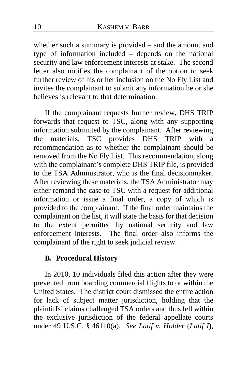whether such a summary is provided – and the amount and type of information included – depends on the national security and law enforcement interests at stake.The second letter also notifies the complainant of the option to seek further review of his or her inclusion on the No Fly List and invites the complainant to submit any information he or she believes is relevant to that determination.

If the complainant requests further review, DHS TRIP forwards that request to TSC, along with any supporting information submitted by the complainant.After reviewing the materials, TSC provides DHS TRIP with a recommendation as to whether the complainant should be removed from the No Fly List. This recommendation, along with the complainant's complete DHS TRIP file, is provided to the TSA Administrator, who is the final decisionmaker. After reviewing these materials, the TSA Administrator may either remand the case to TSC with a request for additional information or issue a final order, a copy of which is provided to the complainant. If the final order maintains the complainant on the list, it will state the basis for that decision to the extent permitted by national security and law enforcement interests.The final order also informs the complainant of the right to seek judicial review.

# **B. Procedural History**

In 2010, 10 individuals filed this action after they were prevented from boarding commercial flights to or within the United States. The district court dismissed the entire action for lack of subject matter jurisdiction, holding that the plaintiffs' claims challenged TSA orders and thus fell within the exclusive jurisdiction of the federal appellate courts under 49 U.S.C. § 46110(a). *See Latif v. Holder* (*Latif I*),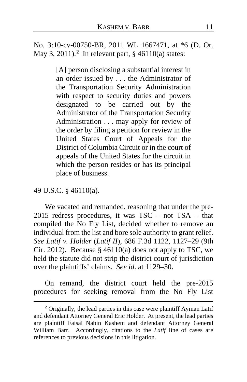No. 3:10-cv-00750-BR, 2011 WL 1667471, at \*6 (D. Or. May 3, 2011).**[2](#page-10-0)** In relevant part, § 46110(a) states:

> [A] person disclosing a substantial interest in an order issued by . . . the Administrator of the Transportation Security Administration with respect to security duties and powers designated to be carried out by the Administrator of the Transportation Security Administration . . . may apply for review of the order by filing a petition for review in the United States Court of Appeals for the District of Columbia Circuit or in the court of appeals of the United States for the circuit in which the person resides or has its principal place of business.

49 U.S.C. § 46110(a).

We vacated and remanded, reasoning that under the pre-2015 redress procedures, it was TSC – not TSA – that compiled the No Fly List, decided whether to remove an individual from the list and bore sole authority to grant relief. *See Latif v. Holder* (*Latif II*), 686 F.3d 1122, 1127–29 (9th Cir. 2012). Because  $\S$  46110(a) does not apply to TSC, we held the statute did not strip the district court of jurisdiction over the plaintiffs' claims. *See id*. at 1129–30.

On remand, the district court held the pre-2015 procedures for seeking removal from the No Fly List

<span id="page-10-0"></span>**<sup>2</sup>** Originally, the lead parties in this case were plaintiff Ayman Latif and defendant Attorney General Eric Holder. At present, the lead parties are plaintiff Faisal Nabin Kashem and defendant Attorney General William Barr. Accordingly, citations to the *Latif* line of cases are references to previous decisions in this litigation.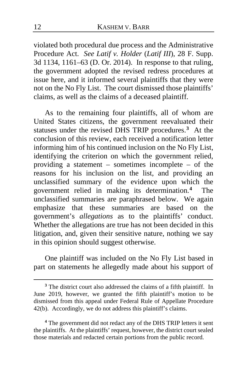violated both procedural due process and the Administrative Procedure Act. *See Latif v. Holder* (*Latif III*), 28 F. Supp. 3d 1134, 1161–63 (D. Or. 2014).In response to that ruling, the government adopted the revised redress procedures at issue here, and it informed several plaintiffs that they were not on the No Fly List.The court dismissed those plaintiffs' claims, as well as the claims of a deceased plaintiff.

As to the remaining four plaintiffs, all of whom are United States citizens, the government reevaluated their statuses under the revised DHS TRIP procedures.**[3](#page-11-0)** At the conclusion of this review, each received a notification letter informing him of his continued inclusion on the No Fly List, identifying the criterion on which the government relied, providing a statement – sometimes incomplete – of the reasons for his inclusion on the list, and providing an unclassified summary of the evidence upon which the government relied in making its determination.**[4](#page-11-1)** The unclassified summaries are paraphrased below. We again emphasize that these summaries are based on the government's *allegations* as to the plaintiffs' conduct. Whether the allegations are true has not been decided in this litigation, and, given their sensitive nature, nothing we say in this opinion should suggest otherwise.

One plaintiff was included on the No Fly List based in part on statements he allegedly made about his support of

<span id="page-11-1"></span>**<sup>4</sup>** The government did not redact any of the DHS TRIP letters it sent the plaintiffs. At the plaintiffs' request, however, the district court sealed those materials and redacted certain portions from the public record.

<span id="page-11-0"></span>**<sup>3</sup>** The district court also addressed the claims of a fifth plaintiff. In June 2019, however, we granted the fifth plaintiff's motion to be dismissed from this appeal under Federal Rule of Appellate Procedure 42(b). Accordingly, we do not address this plaintiff's claims.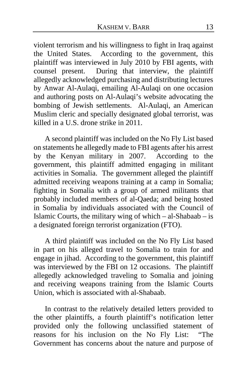violent terrorism and his willingness to fight in Iraq against the United States.According to the government, this plaintiff was interviewed in July 2010 by FBI agents, with counsel present. During that interview, the plaintiff allegedly acknowledged purchasing and distributing lectures by Anwar Al-Aulaqi, emailing Al-Aulaqi on one occasion and authoring posts on Al-Aulaqi's website advocating the bombing of Jewish settlements. Al-Aulaqi, an American Muslim cleric and specially designated global terrorist, was killed in a U.S. drone strike in 2011.

A second plaintiff was included on the No Fly List based on statements he allegedly made to FBI agents after his arrest by the Kenyan military in 2007. According to the government, this plaintiff admitted engaging in militant activities in Somalia. The government alleged the plaintiff admitted receiving weapons training at a camp in Somalia; fighting in Somalia with a group of armed militants that probably included members of al-Qaeda; and being hosted in Somalia by individuals associated with the Council of Islamic Courts, the military wing of which  $-$  al-Shabaab  $-$  is a designated foreign terrorist organization (FTO).

A third plaintiff was included on the No Fly List based in part on his alleged travel to Somalia to train for and engage in jihad. According to the government, this plaintiff was interviewed by the FBI on 12 occasions. The plaintiff allegedly acknowledged traveling to Somalia and joining and receiving weapons training from the Islamic Courts Union, which is associated with al-Shabaab.

In contrast to the relatively detailed letters provided to the other plaintiffs, a fourth plaintiff's notification letter provided only the following unclassified statement of reasons for his inclusion on the No Fly List: "The Government has concerns about the nature and purpose of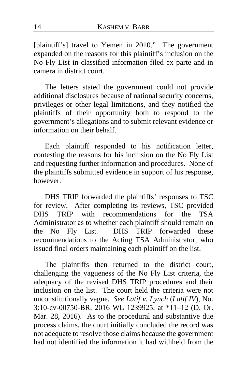[plaintiff's] travel to Yemen in 2010." The government expanded on the reasons for this plaintiff's inclusion on the No Fly List in classified information filed ex parte and in camera in district court.

The letters stated the government could not provide additional disclosures because of national security concerns, privileges or other legal limitations, and they notified the plaintiffs of their opportunity both to respond to the government's allegations and to submit relevant evidence or information on their behalf.

Each plaintiff responded to his notification letter, contesting the reasons for his inclusion on the No Fly List and requesting further information and procedures. None of the plaintiffs submitted evidence in support of his response, however.

DHS TRIP forwarded the plaintiffs' responses to TSC for review. After completing its reviews, TSC provided DHS TRIP with recommendations for the TSA Administrator as to whether each plaintiff should remain on the No Fly List. DHS TRIP forwarded these recommendations to the Acting TSA Administrator, who issued final orders maintaining each plaintiff on the list.

The plaintiffs then returned to the district court, challenging the vagueness of the No Fly List criteria, the adequacy of the revised DHS TRIP procedures and their inclusion on the list. The court held the criteria were not unconstitutionally vague. *See Latif v. Lynch* (*Latif IV*), No. 3:10-cv-00750-BR, 2016 WL 1239925, at \*11–12 (D. Or. Mar. 28, 2016). As to the procedural and substantive due process claims, the court initially concluded the record was not adequate to resolve those claims because the government had not identified the information it had withheld from the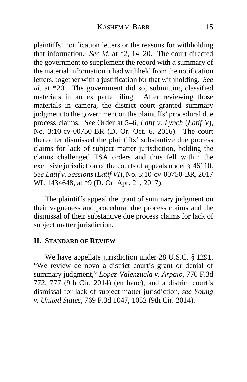plaintiffs' notification letters or the reasons for withholding that information. *See id*. at \*2, 14–20. The court directed the government to supplement the record with a summary of the material information it had withheld from the notification letters, together with a justification for that withholding. *See id*. at \*20. The government did so, submitting classified materials in an ex parte filing. After reviewing those materials in camera, the district court granted summary judgment to the government on the plaintiffs' procedural due process claims. *See* Order at 5–6, *Latif v. Lynch* (*Latif V*), No. 3:10-cv-00750-BR (D. Or. Oct. 6, 2016). The court thereafter dismissed the plaintiffs' substantive due process claims for lack of subject matter jurisdiction, holding the claims challenged TSA orders and thus fell within the exclusive jurisdiction of the courts of appeals under § 46110. *See Latif v. Sessions* (*Latif VI*), No. 3:10-cv-00750-BR, 2017 WL 1434648, at \*9 (D. Or. Apr. 21, 2017).

The plaintiffs appeal the grant of summary judgment on their vagueness and procedural due process claims and the dismissal of their substantive due process claims for lack of subject matter jurisdiction.

#### **II. STANDARD OF REVIEW**

We have appellate jurisdiction under 28 U.S.C. § 1291. "We review de novo a district court's grant or denial of summary judgment," *Lopez-Valenzuela v. Arpaio*, 770 F.3d 772, 777 (9th Cir. 2014) (en banc), and a district court's dismissal for lack of subject matter jurisdiction, *see Young v. United States*, 769 F.3d 1047, 1052 (9th Cir. 2014).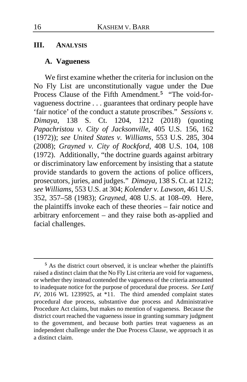#### **III. ANALYSIS**

#### **A. Vagueness**

We first examine whether the criteria for inclusion on the No Fly List are unconstitutionally vague under the Due Process Clause of the Fifth Amendment.**[5](#page-15-0)** "The void-forvagueness doctrine . . . guarantees that ordinary people have 'fair notice' of the conduct a statute proscribes." *Sessions v. Dimaya*, 138 S. Ct. 1204, 1212 (2018) (quoting *Papachristou v. City of Jacksonville*, 405 U.S. 156, 162 (1972)); *see United States v. Williams*, 553 U.S. 285, 304 (2008); *Grayned v. City of Rockford*, 408 U.S. 104, 108 (1972). Additionally, "the doctrine guards against arbitrary or discriminatory law enforcement by insisting that a statute provide standards to govern the actions of police officers, prosecutors, juries, and judges." *Dimaya*, 138 S. Ct. at 1212; *see Williams*, 553 U.S. at 304; *Kolender v. Lawson*, 461 U.S. 352, 357–58 (1983); *Grayned*, 408 U.S. at 108–09. Here, the plaintiffs invoke each of these theories – fair notice and arbitrary enforcement – and they raise both as-applied and facial challenges.

<span id="page-15-0"></span>**<sup>5</sup>** As the district court observed, it is unclear whether the plaintiffs raised a distinct claim that the No Fly List criteria are void for vagueness, or whether they instead contended the vagueness of the criteria amounted to inadequate notice for the purpose of procedural due process. *See Latif IV*, 2016 WL 1239925, at \*11. The third amended complaint states procedural due process, substantive due process and Administrative Procedure Act claims, but makes no mention of vagueness. Because the district court reached the vagueness issue in granting summary judgment to the government, and because both parties treat vagueness as an independent challenge under the Due Process Clause, we approach it as a distinct claim.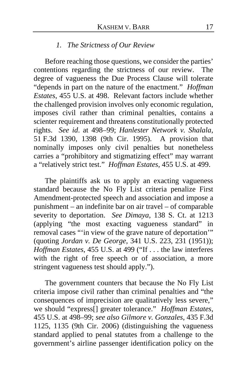# *1. The Strictness of Our Review*

Before reaching those questions, we consider the parties' contentions regarding the strictness of our review. The degree of vagueness the Due Process Clause will tolerate "depends in part on the nature of the enactment." *Hoffman Estates*, 455 U.S. at 498. Relevant factors include whether the challenged provision involves only economic regulation, imposes civil rather than criminal penalties, contains a scienter requirement and threatens constitutionally protected rights. *See id*. at 498–99; *Hanlester Network v. Shalala*, 51 F.3d 1390, 1398 (9th Cir. 1995). A provision that nominally imposes only civil penalties but nonetheless carries a "prohibitory and stigmatizing effect" may warrant a "relatively strict test." *Hoffman Estates*, 455 U.S. at 499.

The plaintiffs ask us to apply an exacting vagueness standard because the No Fly List criteria penalize First Amendment-protected speech and association and impose a punishment – an indefinite bar on air travel – of comparable severity to deportation. *See Dimaya*, 138 S. Ct. at 1213 (applying "the most exacting vagueness standard" in removal cases "'in view of the grave nature of deportation'" (quoting *Jordan v. De George*, 341 U.S. 223, 231 (1951)); *Hoffman Estates*, 455 U.S. at 499 ("If . . . the law interferes with the right of free speech or of association, a more stringent vagueness test should apply.").

The government counters that because the No Fly List criteria impose civil rather than criminal penalties and "the consequences of imprecision are qualitatively less severe," we should "express[] greater tolerance." *Hoffman Estates*, 455 U.S. at 498–99; *see also Gilmore v. Gonzales*, 435 F.3d 1125, 1135 (9th Cir. 2006) (distinguishing the vagueness standard applied to penal statutes from a challenge to the government's airline passenger identification policy on the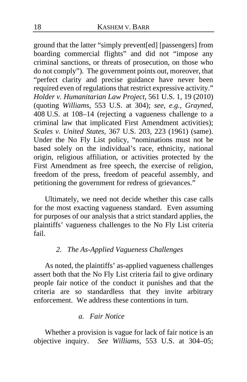ground that the latter "simply prevent[ed] [passengers] from boarding commercial flights" and did not "impose any criminal sanctions, or threats of prosecution, on those who do not comply"). The government points out, moreover, that "perfect clarity and precise guidance have never been required even of regulations that restrict expressive activity." *Holder v. Humanitarian Law Project*, 561 U.S. 1, 19 (2010) (quoting *Williams*, 553 U.S. at 304); *see, e.g.*, *Grayned*, 408 U.S. at 108–14 (rejecting a vagueness challenge to a criminal law that implicated First Amendment activities); *Scales v. United States*, 367 U.S. 203, 223 (1961) (same). Under the No Fly List policy, "nominations must not be based solely on the individual's race, ethnicity, national origin, religious affiliation, or activities protected by the First Amendment as free speech, the exercise of religion, freedom of the press, freedom of peaceful assembly, and petitioning the government for redress of grievances."

Ultimately, we need not decide whether this case calls for the most exacting vagueness standard. Even assuming for purposes of our analysis that a strict standard applies, the plaintiffs' vagueness challenges to the No Fly List criteria fail.

## *2. The As-Applied Vagueness Challenges*

As noted, the plaintiffs' as-applied vagueness challenges assert both that the No Fly List criteria fail to give ordinary people fair notice of the conduct it punishes and that the criteria are so standardless that they invite arbitrary enforcement. We address these contentions in turn.

## *a. Fair Notice*

Whether a provision is vague for lack of fair notice is an objective inquiry. *See Williams*, 553 U.S. at 304–05;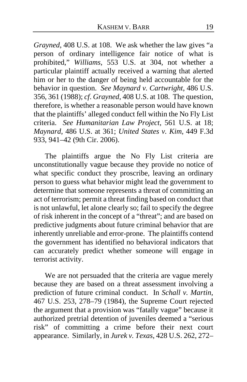*Grayned*, 408 U.S. at 108. We ask whether the law gives "a person of ordinary intelligence fair notice of what is prohibited," *Williams*, 553 U.S. at 304, not whether a particular plaintiff actually received a warning that alerted him or her to the danger of being held accountable for the behavior in question. *See Maynard v. Cartwright*, 486 U.S. 356, 361 (1988); *cf*. *Grayned*, 408 U.S. at 108. The question, therefore, is whether a reasonable person would have known that the plaintiffs' alleged conduct fell within the No Fly List criteria. *See Humanitarian Law Project*, 561 U.S. at 18; *Maynard*, 486 U.S. at 361; *United States v. Kim*, 449 F.3d 933, 941–42 (9th Cir. 2006).

The plaintiffs argue the No Fly List criteria are unconstitutionally vague because they provide no notice of what specific conduct they proscribe, leaving an ordinary person to guess what behavior might lead the government to determine that someone represents a threat of committing an act of terrorism; permit a threat finding based on conduct that is not unlawful, let alone clearly so; fail to specify the degree of risk inherent in the concept of a "threat"; and are based on predictive judgments about future criminal behavior that are inherently unreliable and error-prone. The plaintiffs contend the government has identified no behavioral indicators that can accurately predict whether someone will engage in terrorist activity.

We are not persuaded that the criteria are vague merely because they are based on a threat assessment involving a prediction of future criminal conduct. In *Schall v. Martin*, 467 U.S. 253, 278–79 (1984), the Supreme Court rejected the argument that a provision was "fatally vague" because it authorized pretrial detention of juveniles deemed a "serious risk" of committing a crime before their next court appearance. Similarly, in *Jurek v. Texas*, 428 U.S. 262, 272–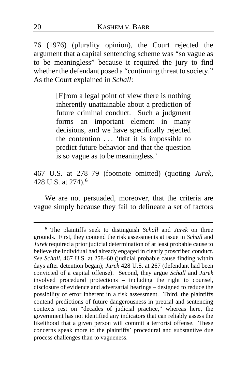76 (1976) (plurality opinion), the Court rejected the argument that a capital sentencing scheme was "so vague as to be meaningless" because it required the jury to find whether the defendant posed a "continuing threat to society." As the Court explained in *Schall*:

> [F]rom a legal point of view there is nothing inherently unattainable about a prediction of future criminal conduct. Such a judgment forms an important element in many decisions, and we have specifically rejected the contention . . . 'that it is impossible to predict future behavior and that the question is so vague as to be meaningless.'

467 U.S. at 278–79 (footnote omitted) (quoting *Jurek*, 428 U.S. at 274).**[6](#page-19-0)**

We are not persuaded, moreover, that the criteria are vague simply because they fail to delineate a set of factors

<span id="page-19-0"></span>**<sup>6</sup>** The plaintiffs seek to distinguish *Schall* and *Jurek* on three grounds. First, they contend the risk assessments at issue in *Schall* and *Jurek* required a prior judicial determination of at least probable cause to believe the individual had already engaged in clearly proscribed conduct. *See Schall*, 467 U.S. at 258–60 (judicial probable cause finding within days after detention began); *Jurek* 428 U.S. at 267 (defendant had been convicted of a capital offense). Second, they argue *Schall* and *Jurek* involved procedural protections – including the right to counsel, disclosure of evidence and adversarial hearings – designed to reduce the possibility of error inherent in a risk assessment. Third, the plaintiffs contend predictions of future dangerousness in pretrial and sentencing contexts rest on "decades of judicial practice," whereas here, the government has not identified any indicators that can reliably assess the likelihood that a given person will commit a terrorist offense. These concerns speak more to the plaintiffs' procedural and substantive due process challenges than to vagueness.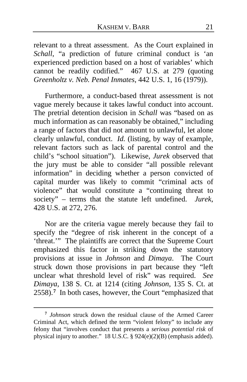relevant to a threat assessment. As the Court explained in *Schall*, "a prediction of future criminal conduct is 'an experienced prediction based on a host of variables' which cannot be readily codified." 467 U.S. at 279 (quoting *Greenholtz v. Neb. Penal Inmates*, 442 U.S. 1, 16 (1979)).

Furthermore, a conduct-based threat assessment is not vague merely because it takes lawful conduct into account. The pretrial detention decision in *Schall* was "based on as much information as can reasonably be obtained," including a range of factors that did not amount to unlawful, let alone clearly unlawful, conduct. *Id.* (listing, by way of example, relevant factors such as lack of parental control and the child's "school situation"). Likewise, *Jurek* observed that the jury must be able to consider "all possible relevant information" in deciding whether a person convicted of capital murder was likely to commit "criminal acts of violence" that would constitute a "continuing threat to society" – terms that the statute left undefined. *Jurek*, 428 U.S. at 272, 276.

Nor are the criteria vague merely because they fail to specify the "degree of risk inherent in the concept of a 'threat.'" The plaintiffs are correct that the Supreme Court emphasized this factor in striking down the statutory provisions at issue in *Johnson* and *Dimaya*. The Court struck down those provisions in part because they "left unclear what threshold level of risk" was required. *See Dimaya*, 138 S. Ct. at 1214 (citing *Johnson*, 135 S. Ct. at 2558).**[7](#page-20-0)** In both cases, however, the Court "emphasized that

<span id="page-20-0"></span>**<sup>7</sup>** *Johnson* struck down the residual clause of the Armed Career Criminal Act, which defined the term "violent felony" to include any felony that "involves conduct that presents a *serious potential risk* of physical injury to another." 18 U.S.C. § 924(e)(2)(B) (emphasis added).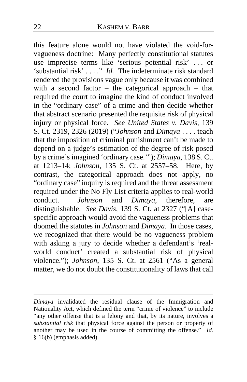this feature alone would not have violated the void-forvagueness doctrine: Many perfectly constitutional statutes use imprecise terms like 'serious potential risk' . . . or 'substantial risk' . . . ." *Id.* The indeterminate risk standard rendered the provisions vague only because it was combined with a second factor – the categorical approach – that required the court to imagine the kind of conduct involved in the "ordinary case" of a crime and then decide whether that abstract scenario presented the requisite risk of physical injury or physical force. *See United States v. Davis*, 139 S. Ct. 2319, 2326 (2019) ("*Johnson* and *Dimaya* . . . . teach that the imposition of criminal punishment can't be made to depend on a judge's estimation of the degree of risk posed by a crime's imagined 'ordinary case.'"); *Dimaya*, 138 S. Ct. at 1213–14; *Johnson*, 135 S. Ct. at 2557–58. Here, by contrast, the categorical approach does not apply, no "ordinary case" inquiry is required and the threat assessment required under the No Fly List criteria applies to real-world conduct. *Johnson* and *Dimaya*, therefore, are distinguishable. *See Davis*, 139 S. Ct. at 2327 ("[A] casespecific approach would avoid the vagueness problems that doomed the statutes in *Johnson* and *Dimaya*. In those cases, we recognized that there would be no vagueness problem with asking a jury to decide whether a defendant's 'realworld conduct' created a substantial risk of physical violence."); *Johnson*, 135 S. Ct. at 2561 ("As a general matter, we do not doubt the constitutionality of laws that call

*Dimaya* invalidated the residual clause of the Immigration and Nationality Act, which defined the term "crime of violence" to include "any other offense that is a felony and that, by its nature, involves a *substantial risk* that physical force against the person or property of another may be used in the course of committing the offense." *Id.* § 16(b) (emphasis added).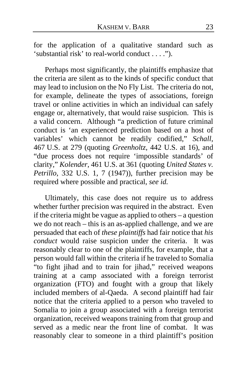for the application of a qualitative standard such as 'substantial risk' to real-world conduct . . . .").

Perhaps most significantly, the plaintiffs emphasize that the criteria are silent as to the kinds of specific conduct that may lead to inclusion on the No Fly List. The criteria do not, for example, delineate the types of associations, foreign travel or online activities in which an individual can safely engage or, alternatively, that would raise suspicion. This is a valid concern. Although "a prediction of future criminal conduct is 'an experienced prediction based on a host of variables' which cannot be readily codified," *Schall*, 467 U.S. at 279 (quoting *Greenholtz*, 442 U.S. at 16), and "due process does not require 'impossible standards' of clarity," *Kolender*, 461 U.S. at 361 (quoting *United States v. Petrillo*, 332 U.S. 1, 7 (1947)), further precision may be required where possible and practical, *see id.*

Ultimately, this case does not require us to address whether further precision was required in the abstract. Even if the criteria might be vague as applied to others – a question we do not reach – this is an as-applied challenge, and we are persuaded that each of *these plaintiffs* had fair notice that *his conduct* would raise suspicion under the criteria. It was reasonably clear to one of the plaintiffs, for example, that a person would fall within the criteria if he traveled to Somalia "to fight jihad and to train for jihad," received weapons training at a camp associated with a foreign terrorist organization (FTO) and fought with a group that likely included members of al-Qaeda. A second plaintiff had fair notice that the criteria applied to a person who traveled to Somalia to join a group associated with a foreign terrorist organization, received weapons training from that group and served as a medic near the front line of combat. It was reasonably clear to someone in a third plaintiff's position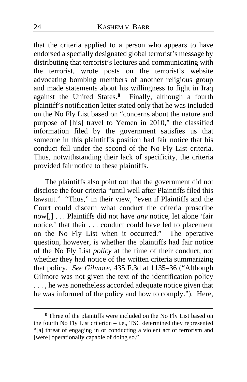that the criteria applied to a person who appears to have endorsed a specially designated global terrorist's message by distributing that terrorist's lectures and communicating with the terrorist, wrote posts on the terrorist's website advocating bombing members of another religious group and made statements about his willingness to fight in Iraq against the United States.**[8](#page-23-0)** Finally, although a fourth plaintiff's notification letter stated only that he was included on the No Fly List based on "concerns about the nature and purpose of [his] travel to Yemen in 2010," the classified information filed by the government satisfies us that someone in this plaintiff's position had fair notice that his conduct fell under the second of the No Fly List criteria. Thus, notwithstanding their lack of specificity, the criteria provided fair notice to these plaintiffs.

The plaintiffs also point out that the government did not disclose the four criteria "until well after Plaintiffs filed this lawsuit." "Thus," in their view, "even if Plaintiffs and the Court could discern what conduct the criteria proscribe now[,] . . . Plaintiffs did not have *any* notice, let alone 'fair notice,' that their . . . conduct could have led to placement on the No Fly List when it occurred." The operative question, however, is whether the plaintiffs had fair notice of the No Fly List *policy* at the time of their conduct, not whether they had notice of the written criteria summarizing that policy. *See Gilmore*, 435 F.3d at 1135–36 ("Although Gilmore was not given the text of the identification policy ..., he was nonetheless accorded adequate notice given that he was informed of the policy and how to comply."). Here,

<span id="page-23-0"></span>**<sup>8</sup>** Three of the plaintiffs were included on the No Fly List based on the fourth No Fly List criterion – i.e., TSC determined they represented "[a] threat of engaging in or conducting a violent act of terrorism and [were] operationally capable of doing so."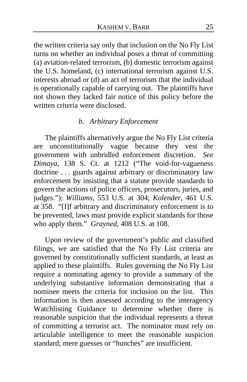the written criteria say only that inclusion on the No Fly List turns on whether an individual poses a threat of committing  $(a)$  aviation-related terrorism,  $(b)$  domestic terrorism against the U.S. homeland, (c) international terrorism against U.S. interests abroad or (d) an act of terrorism that the individual is operationally capable of carrying out. The plaintiffs have not shown they lacked fair notice of this policy before the written criteria were disclosed.

## *b. Arbitrary Enforcement*

The plaintiffs alternatively argue the No Fly List criteria are unconstitutionally vague because they vest the government with unbridled enforcement discretion. *See Dimaya*, 138 S. Ct. at 1212 ("The void-for-vagueness doctrine ... guards against arbitrary or discriminatory law enforcement by insisting that a statute provide standards to govern the actions of police officers, prosecutors, juries, and judges."); *Williams*, 553 U.S. at 304; *Kolender*, 461 U.S. at 358. "[I]f arbitrary and discriminatory enforcement is to be prevented, laws must provide explicit standards for those who apply them." *Grayned*, 408 U.S. at 108.

Upon review of the government's public and classified filings, we are satisfied that the No Fly List criteria are governed by constitutionally sufficient standards, at least as applied to these plaintiffs. Rules governing the No Fly List require a nominating agency to provide a summary of the underlying substantive information demonstrating that a nominee meets the criteria for inclusion on the list. This information is then assessed according to the interagency Watchlisting Guidance to determine whether there is reasonable suspicion that the individual represents a threat of committing a terrorist act. The nominator must rely on articulable intelligence to meet the reasonable suspicion standard; mere guesses or "hunches" are insufficient.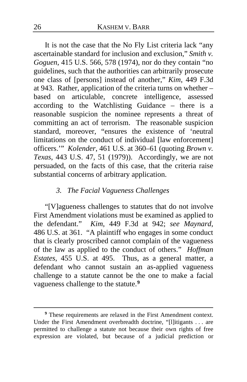It is not the case that the No Fly List criteria lack "any ascertainable standard for inclusion and exclusion," *Smith v. Goguen*, 415 U.S. 566, 578 (1974), nor do they contain "no guidelines, such that the authorities can arbitrarily prosecute one class of [persons] instead of another," *Kim*, 449 F.3d at 943. Rather, application of the criteria turns on whether – based on articulable, concrete intelligence, assessed according to the Watchlisting Guidance – there is a reasonable suspicion the nominee represents a threat of committing an act of terrorism. The reasonable suspicion standard, moreover, "ensures the existence of 'neutral limitations on the conduct of individual [law enforcement] officers.'" *Kolender*, 461 U.S. at 360–61 (quoting *Brown v. Texas*, 443 U.S. 47, 51 (1979)). Accordingly, we are not persuaded, on the facts of this case, that the criteria raise substantial concerns of arbitrary application.

#### *3. The Facial Vagueness Challenges*

"[V]agueness challenges to statutes that do not involve First Amendment violations must be examined as applied to the defendant." *Kim*, 449 F.3d at 942; *see Maynard*, 486 U.S. at 361. "A plaintiff who engages in some conduct that is clearly proscribed cannot complain of the vagueness of the law as applied to the conduct of others." *Hoffman Estates*, 455 U.S. at 495. Thus, as a general matter, a defendant who cannot sustain an as-applied vagueness challenge to a statute cannot be the one to make a facial vagueness challenge to the statute.**[9](#page-25-0)**

<span id="page-25-0"></span>**<sup>9</sup>** These requirements are relaxed in the First Amendment context. Under the First Amendment overbreadth doctrine, "[l]itigants . . . are permitted to challenge a statute not because their own rights of free expression are violated, but because of a judicial prediction or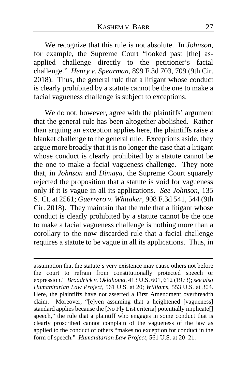We recognize that this rule is not absolute. In *Johnson*, for example, the Supreme Court "looked past [the] asapplied challenge directly to the petitioner's facial challenge." *Henry v. Spearman*, 899 F.3d 703, 709 (9th Cir. 2018). Thus, the general rule that a litigant whose conduct is clearly prohibited by a statute cannot be the one to make a facial vagueness challenge is subject to exceptions.

We do not, however, agree with the plaintiffs' argument that the general rule has been altogether abolished. Rather than arguing an exception applies here, the plaintiffs raise a blanket challenge to the general rule. Exceptions aside, they argue more broadly that it is no longer the case that a litigant whose conduct is clearly prohibited by a statute cannot be the one to make a facial vagueness challenge. They note that, in *Johnson* and *Dimaya*, the Supreme Court squarely rejected the proposition that a statute is void for vagueness only if it is vague in all its applications. *See Johnson*, 135 S. Ct. at 2561; *Guerrero v. Whitaker*, 908 F.3d 541, 544 (9th Cir. 2018). They maintain that the rule that a litigant whose conduct is clearly prohibited by a statute cannot be the one to make a facial vagueness challenge is nothing more than a corollary to the now discarded rule that a facial challenge requires a statute to be vague in all its applications. Thus, in

assumption that the statute's very existence may cause others not before the court to refrain from constitutionally protected speech or expression." *Broadrick v. Oklahoma*, 413 U.S. 601, 612 (1973); *see also Humanitarian Law Project*, 561 U.S. at 20; *Williams*, 553 U.S. at 304. Here, the plaintiffs have not asserted a First Amendment overbreadth claim. Moreover, "[e]ven assuming that a heightened [vagueness] standard applies because the [No Fly List criteria] potentially implicate[] speech," the rule that a plaintiff who engages in some conduct that is clearly proscribed cannot complain of the vagueness of the law as applied to the conduct of others "makes no exception for conduct in the form of speech." *Humanitarian Law Project*, 561 U.S. at 20–21.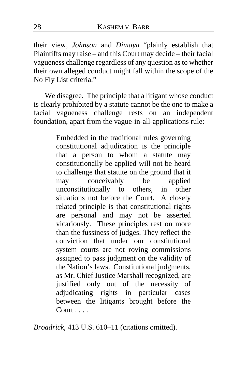their view, *Johnson* and *Dimaya* "plainly establish that Plaintiffs may raise – and this Court may decide – their facial vagueness challenge regardless of any question as to whether their own alleged conduct might fall within the scope of the No Fly List criteria."

We disagree. The principle that a litigant whose conduct is clearly prohibited by a statute cannot be the one to make a facial vagueness challenge rests on an independent foundation, apart from the vague-in-all-applications rule:

> Embedded in the traditional rules governing constitutional adjudication is the principle that a person to whom a statute may constitutionally be applied will not be heard to challenge that statute on the ground that it may conceivably be applied unconstitutionally to others, in other situations not before the Court. A closely related principle is that constitutional rights are personal and may not be asserted vicariously. These principles rest on more than the fussiness of judges. They reflect the conviction that under our constitutional system courts are not roving commissions assigned to pass judgment on the validity of the Nation's laws. Constitutional judgments, as Mr. Chief Justice Marshall recognized, are justified only out of the necessity of adjudicating rights in particular cases between the litigants brought before the Court . . . .

*Broadrick*, 413 U.S. 610–11 (citations omitted).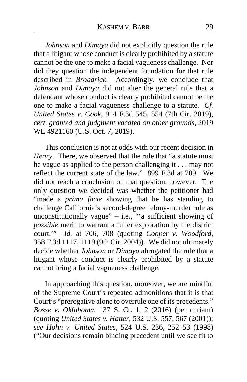*Johnson* and *Dimaya* did not explicitly question the rule that a litigant whose conduct is clearly prohibited by a statute cannot be the one to make a facial vagueness challenge. Nor did they question the independent foundation for that rule described in *Broadrick*. Accordingly, we conclude that *Johnson* and *Dimaya* did not alter the general rule that a defendant whose conduct is clearly prohibited cannot be the one to make a facial vagueness challenge to a statute. *Cf. United States v. Cook*, 914 F.3d 545, 554 (7th Cir. 2019), *cert. granted and judgment vacated on other grounds*, 2019 WL 4921160 (U.S. Oct. 7, 2019).

This conclusion is not at odds with our recent decision in *Henry*. There, we observed that the rule that "a statute must be vague as applied to the person challenging it . . . may not reflect the current state of the law." 899 F.3d at 709. We did not reach a conclusion on that question, however. The only question we decided was whether the petitioner had "made a *prima facie* showing that he has standing to challenge California's second-degree felony-murder rule as unconstitutionally vague" – i.e., "a sufficient showing of *possible* merit to warrant a fuller exploration by the district court.'" *Id.* at 706, 708 (quoting *Cooper v. Woodford*, 358 F.3d 1117, 1119 (9th Cir. 2004)). We did not ultimately decide whether *Johnson* or *Dimaya* abrogated the rule that a litigant whose conduct is clearly prohibited by a statute cannot bring a facial vagueness challenge.

In approaching this question, moreover, we are mindful of the Supreme Court's repeated admonitions that it is that Court's "prerogative alone to overrule one of its precedents." *Bosse v. Oklahoma*, 137 S. Ct. 1, 2 (2016) (per curiam) (quoting *United States v. Hatter*, 532 U.S. 557, 567 (2001)); *see Hohn v. United States*, 524 U.S. 236, 252–53 (1998) ("Our decisions remain binding precedent until we see fit to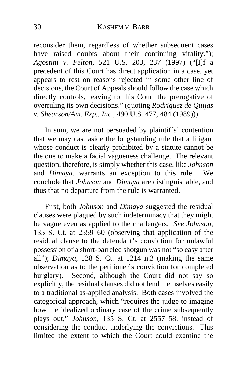reconsider them, regardless of whether subsequent cases have raised doubts about their continuing vitality."); *Agostini v. Felton*, 521 U.S. 203, 237 (1997) ("[I]f a precedent of this Court has direct application in a case, yet appears to rest on reasons rejected in some other line of decisions, the Court of Appeals should follow the case which directly controls, leaving to this Court the prerogative of overruling its own decisions." (quoting *Rodriguez de Quijas v. Shearson/Am. Exp., Inc.*, 490 U.S. 477, 484 (1989))).

In sum, we are not persuaded by plaintiffs' contention that we may cast aside the longstanding rule that a litigant whose conduct is clearly prohibited by a statute cannot be the one to make a facial vagueness challenge. The relevant question, therefore, is simply whether this case, like *Johnson* and *Dimaya*, warrants an exception to this rule. We conclude that *Johnson* and *Dimaya* are distinguishable, and thus that no departure from the rule is warranted.

First, both *Johnson* and *Dimaya* suggested the residual clauses were plagued by such indeterminacy that they might be vague even as applied to the challengers. *See Johnson*, 135 S. Ct. at 2559–60 (observing that application of the residual clause to the defendant's conviction for unlawful possession of a short-barreled shotgun was not "so easy after all"); *Dimaya*, 138 S. Ct. at 1214 n.3 (making the same observation as to the petitioner's conviction for completed burglary). Second, although the Court did not say so explicitly, the residual clauses did not lend themselves easily to a traditional as-applied analysis. Both cases involved the categorical approach, which "requires the judge to imagine how the idealized ordinary case of the crime subsequently plays out," *Johnson*, 135 S. Ct. at 2557–58, instead of considering the conduct underlying the convictions. This limited the extent to which the Court could examine the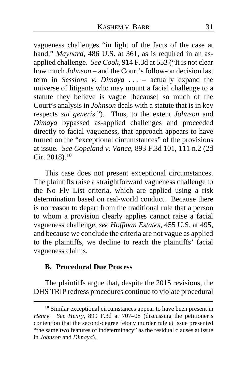vagueness challenges "in light of the facts of the case at hand," *Maynard*, 486 U.S. at 361, as is required in an asapplied challenge. *See Cook*, 914 F.3d at 553 ("It is not clear how much *Johnson* – and the Court's follow-on decision last term in *Sessions v. Dimaya* . . . – actually expand the universe of litigants who may mount a facial challenge to a statute they believe is vague [because] so much of the Court's analysis in *Johnson* deals with a statute that is in key respects *sui generis*."). Thus, to the extent *Johnson* and *Dimaya* bypassed as-applied challenges and proceeded directly to facial vagueness, that approach appears to have turned on the "exceptional circumstances" of the provisions at issue. *See Copeland v. Vance*, 893 F.3d 101, 111 n.2 (2d Cir. 2018).**[10](#page-30-0)**

This case does not present exceptional circumstances. The plaintiffs raise a straightforward vagueness challenge to the No Fly List criteria, which are applied using a risk determination based on real-world conduct. Because there is no reason to depart from the traditional rule that a person to whom a provision clearly applies cannot raise a facial vagueness challenge, *see Hoffman Estates*, 455 U.S. at 495, and because we conclude the criteria are not vague as applied to the plaintiffs, we decline to reach the plaintiffs' facial vagueness claims.

### **B. Procedural Due Process**

The plaintiffs argue that, despite the 2015 revisions, the DHS TRIP redress procedures continue to violate procedural

<span id="page-30-0"></span>**<sup>10</sup>** Similar exceptional circumstances appear to have been present in *Henry*. *See Henry*, 899 F.3d at 707–08 (discussing the petitioner's contention that the second-degree felony murder rule at issue presented "the same two features of indeterminacy" as the residual clauses at issue in *Johnson* and *Dimaya*).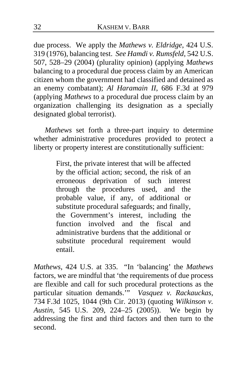due process. We apply the *Mathews v. Eldridge*, 424 U.S. 319 (1976), balancing test. *See Hamdi v. Rumsfeld*, 542 U.S. 507, 528–29 (2004) (plurality opinion) (applying *Mathews* balancing to a procedural due process claim by an American citizen whom the government had classified and detained as an enemy combatant); *Al Haramain II*, 686 F.3d at 979 (applying *Mathews* to a procedural due process claim by an organization challenging its designation as a specially designated global terrorist).

*Mathews* set forth a three-part inquiry to determine whether administrative procedures provided to protect a liberty or property interest are constitutionally sufficient:

> First, the private interest that will be affected by the official action; second, the risk of an erroneous deprivation of such interest through the procedures used, and the probable value, if any, of additional or substitute procedural safeguards; and finally, the Government's interest, including the function involved and the fiscal and administrative burdens that the additional or substitute procedural requirement would entail.

*Mathews*, 424 U.S. at 335. "In 'balancing' the *Mathews*  factors, we are mindful that 'the requirements of due process are flexible and call for such procedural protections as the particular situation demands.'" *Vasquez v. Rackauckas*, 734 F.3d 1025, 1044 (9th Cir. 2013) (quoting *Wilkinson v. Austin*, 545 U.S. 209, 224–25 (2005)). We begin by addressing the first and third factors and then turn to the second.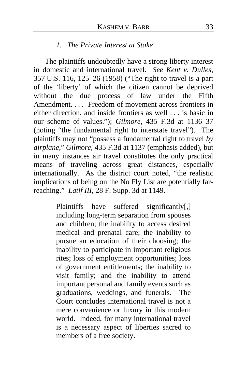#### *1. The Private Interest at Stake*

The plaintiffs undoubtedly have a strong liberty interest in domestic and international travel. *See Kent v. Dulles*, 357 U.S. 116, 125–26 (1958) ("The right to travel is a part of the 'liberty' of which the citizen cannot be deprived without the due process of law under the Fifth Amendment. . . . Freedom of movement across frontiers in either direction, and inside frontiers as well . . . is basic in our scheme of values."); *Gilmore*, 435 F.3d at 1136–37 (noting "the fundamental right to interstate travel"). The plaintiffs may not "possess a fundamental right to travel *by airplane*," *Gilmore*, 435 F.3d at 1137 (emphasis added), but in many instances air travel constitutes the only practical means of traveling across great distances, especially internationally. As the district court noted, "the realistic implications of being on the No Fly List are potentially farreaching." *Latif III*, 28 F. Supp. 3d at 1149.

> Plaintiffs have suffered significantly[,] including long-term separation from spouses and children; the inability to access desired medical and prenatal care; the inability to pursue an education of their choosing; the inability to participate in important religious rites; loss of employment opportunities; loss of government entitlements; the inability to visit family; and the inability to attend important personal and family events such as graduations, weddings, and funerals. The Court concludes international travel is not a mere convenience or luxury in this modern world. Indeed, for many international travel is a necessary aspect of liberties sacred to members of a free society.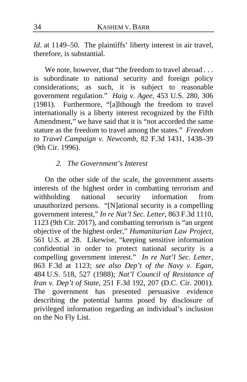*Id.* at 1149–50. The plaintiffs' liberty interest in air travel, therefore, is substantial.

We note, however, that "the freedom to travel abroad . . . is subordinate to national security and foreign policy considerations; as such, it is subject to reasonable government regulation." *Haig v. Agee*, 453 U.S. 280, 306 (1981). Furthermore, "[a]lthough the freedom to travel internationally is a liberty interest recognized by the Fifth Amendment," we have said that it is "not accorded the same stature as the freedom to travel among the states." *Freedom to Travel Campaign v. Newcomb*, 82 F.3d 1431, 1438–39 (9th Cir. 1996).

# *2. The Government's Interest*

On the other side of the scale, the government asserts interests of the highest order in combatting terrorism and withholding national security information from unauthorized persons."[N]ational security is a compelling government interest," *In re Nat'l Sec. Letter*, 863 F.3d 1110, 1123 (9th Cir. 2017), and combatting terrorism is "an urgent objective of the highest order," *Humanitarian Law Project*, 561 U.S. at 28. Likewise, "keeping sensitive information confidential in order to protect national security is a compelling government interest." *In re Nat'l Sec. Letter*, 863 F.3d at 1123; *see also Dep't of the Navy v. Egan*, 484 U.S. 518, 527 (1988); *Nat'l Council of Resistance of Iran v. Dep't of State*, 251 F.3d 192, 207 (D.C. Cir. 2001). The government has presented persuasive evidence describing the potential harms posed by disclosure of privileged information regarding an individual's inclusion on the No Fly List.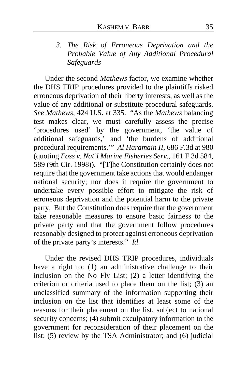# *3. The Risk of Erroneous Deprivation and the Probable Value of Any Additional Procedural Safeguards*

Under the second *Mathews* factor, we examine whether the DHS TRIP procedures provided to the plaintiffs risked erroneous deprivation of their liberty interests, as well as the value of any additional or substitute procedural safeguards. *See Mathews*, 424 U.S. at 335. "As the *Mathews* balancing test makes clear, we must carefully assess the precise 'procedures used' by the government, 'the value of additional safeguards,' and 'the burdens of additional procedural requirements.'" *Al Haramain II*, 686 F.3d at 980 (quoting *Foss v. Nat'l Marine Fisheries Serv.*, 161 F.3d 584, 589 (9th Cir. 1998)). "[T]he Constitution certainly does not require that the government take actions that would endanger national security; nor does it require the government to undertake every possible effort to mitigate the risk of erroneous deprivation and the potential harm to the private party. But the Constitution does require that the government take reasonable measures to ensure basic fairness to the private party and that the government follow procedures reasonably designed to protect against erroneous deprivation of the private party's interests." *Id*.

Under the revised DHS TRIP procedures, individuals have a right to: (1) an administrative challenge to their inclusion on the No Fly List; (2) a letter identifying the criterion or criteria used to place them on the list; (3) an unclassified summary of the information supporting their inclusion on the list that identifies at least some of the reasons for their placement on the list, subject to national security concerns; (4) submit exculpatory information to the government for reconsideration of their placement on the list; (5) review by the TSA Administrator; and (6) judicial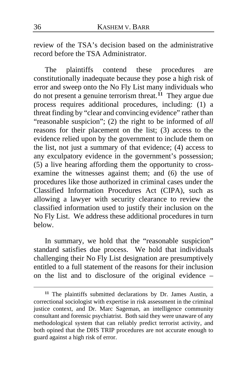review of the TSA's decision based on the administrative record before the TSA Administrator.

The plaintiffs contend these procedures are constitutionally inadequate because they pose a high risk of error and sweep onto the No Fly List many individuals who do not present a genuine terrorism threat.**[11](#page-35-0)** They argue due process requires additional procedures, including: (1) a threat finding by "clear and convincing evidence" rather than "reasonable suspicion"; (2) the right to be informed of *all* reasons for their placement on the list; (3) access to the evidence relied upon by the government to include them on the list, not just a summary of that evidence; (4) access to any exculpatory evidence in the government's possession; (5) a live hearing affording them the opportunity to crossexamine the witnesses against them; and (6) the use of procedures like those authorized in criminal cases under the Classified Information Procedures Act (CIPA), such as allowing a lawyer with security clearance to review the classified information used to justify their inclusion on the No Fly List. We address these additional procedures in turn below.

In summary, we hold that the "reasonable suspicion" standard satisfies due process. We hold that individuals challenging their No Fly List designation are presumptively entitled to a full statement of the reasons for their inclusion on the list and to disclosure of the original evidence –

<span id="page-35-0"></span>**<sup>11</sup>** The plaintiffs submitted declarations by Dr. James Austin, a correctional sociologist with expertise in risk assessment in the criminal justice context, and Dr. Marc Sageman, an intelligence community consultant and forensic psychiatrist. Both said they were unaware of any methodological system that can reliably predict terrorist activity, and both opined that the DHS TRIP procedures are not accurate enough to guard against a high risk of error.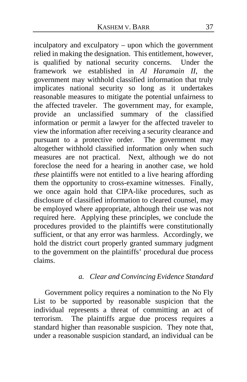inculpatory and exculpatory – upon which the government relied in making the designation. This entitlement, however, is qualified by national security concerns. Under the framework we established in *Al Haramain II*, the government may withhold classified information that truly implicates national security so long as it undertakes reasonable measures to mitigate the potential unfairness to the affected traveler. The government may, for example, provide an unclassified summary of the classified information or permit a lawyer for the affected traveler to view the information after receiving a security clearance and pursuant to a protective order. The government may altogether withhold classified information only when such measures are not practical. Next, although we do not foreclose the need for a hearing in another case, we hold *these* plaintiffs were not entitled to a live hearing affording them the opportunity to cross-examine witnesses. Finally, we once again hold that CIPA-like procedures, such as disclosure of classified information to cleared counsel, may be employed where appropriate, although their use was not required here. Applying these principles, we conclude the procedures provided to the plaintiffs were constitutionally sufficient, or that any error was harmless. Accordingly, we hold the district court properly granted summary judgment to the government on the plaintiffs' procedural due process claims.

# *a. Clear and Convincing Evidence Standard*

Government policy requires a nomination to the No Fly List to be supported by reasonable suspicion that the individual represents a threat of committing an act of terrorism. The plaintiffs argue due process requires a standard higher than reasonable suspicion. They note that, under a reasonable suspicion standard, an individual can be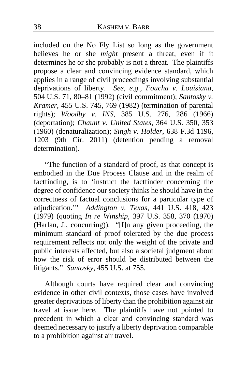included on the No Fly List so long as the government believes he or she *might* present a threat, even if it determines he or she probably is not a threat. The plaintiffs propose a clear and convincing evidence standard, which applies in a range of civil proceedings involving substantial deprivations of liberty. *See, e.g.*, *Foucha v. Louisiana*, 504 U.S. 71, 80–81 (1992) (civil commitment); *Santosky v. Kramer*, 455 U.S. 745, 769 (1982) (termination of parental rights); *Woodby v. INS*, 385 U.S. 276, 286 (1966) (deportation); *Chaunt v. United States*, 364 U.S. 350, 353 (1960) (denaturalization); *Singh v. Holder*, 638 F.3d 1196, 1203 (9th Cir. 2011) (detention pending a removal determination).

"The function of a standard of proof, as that concept is embodied in the Due Process Clause and in the realm of factfinding, is to 'instruct the factfinder concerning the degree of confidence our society thinks he should have in the correctness of factual conclusions for a particular type of adjudication.'" *Addington v. Texas*, 441 U.S. 418, 423 (1979) (quoting *In re Winship*, 397 U.S. 358, 370 (1970) (Harlan, J., concurring)). "[I]n any given proceeding, the minimum standard of proof tolerated by the due process requirement reflects not only the weight of the private and public interests affected, but also a societal judgment about how the risk of error should be distributed between the litigants." *Santosky*, 455 U.S. at 755.

Although courts have required clear and convincing evidence in other civil contexts, those cases have involved greater deprivations of liberty than the prohibition against air travel at issue here. The plaintiffs have not pointed to precedent in which a clear and convincing standard was deemed necessary to justify a liberty deprivation comparable to a prohibition against air travel.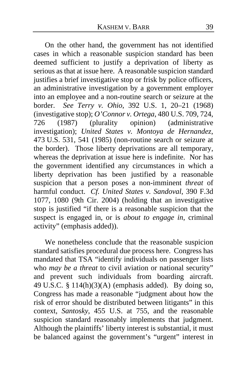On the other hand, the government has not identified cases in which a reasonable suspicion standard has been deemed sufficient to justify a deprivation of liberty as serious as that at issue here. A reasonable suspicion standard justifies a brief investigative stop or frisk by police officers, an administrative investigation by a government employer into an employee and a non-routine search or seizure at the border. *See Terry v. Ohio*, 392 U.S. 1, 20–21 (1968) (investigative stop); *O'Connor v. Ortega*, 480 U.S. 709, 724, 726 (1987) (plurality opinion) (administrative investigation); *United States v. Montoya de Hernandez*, 473 U.S. 531, 541 (1985) (non-routine search or seizure at the border). Those liberty deprivations are all temporary, whereas the deprivation at issue here is indefinite. Nor has the government identified any circumstances in which a liberty deprivation has been justified by a reasonable suspicion that a person poses a non-imminent *threat* of harmful conduct. *Cf. United States v. Sandoval*, 390 F.3d 1077, 1080 (9th Cir. 2004) (holding that an investigative stop is justified "if there is a reasonable suspicion that the suspect is engaged in, or is *about to engage in*, criminal activity" (emphasis added)).

We nonetheless conclude that the reasonable suspicion standard satisfies procedural due process here. Congress has mandated that TSA "identify individuals on passenger lists who *may be a threat* to civil aviation or national security" and prevent such individuals from boarding aircraft. 49 U.S.C. § 114(h) $(3)(A)$  (emphasis added). By doing so, Congress has made a reasonable "judgment about how the risk of error should be distributed between litigants" in this context, *Santosky*, 455 U.S. at 755, and the reasonable suspicion standard reasonably implements that judgment. Although the plaintiffs' liberty interest is substantial, it must be balanced against the government's "urgent" interest in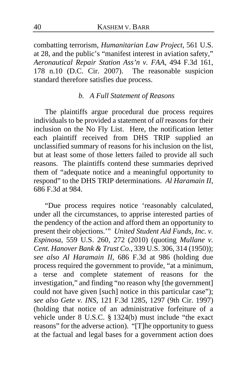combatting terrorism, *Humanitarian Law Project*, 561 U.S. at 28, and the public's "manifest interest in aviation safety," *Aeronautical Repair Station Ass'n v. FAA*, 494 F.3d 161, 178 n.10 (D.C. Cir. 2007). The reasonable suspicion standard therefore satisfies due process.

#### *b. A Full Statement of Reasons*

The plaintiffs argue procedural due process requires individuals to be provided a statement of *all* reasons for their inclusion on the No Fly List. Here, the notification letter each plaintiff received from DHS TRIP supplied an unclassified summary of reasons for his inclusion on the list, but at least some of those letters failed to provide all such reasons. The plaintiffs contend these summaries deprived them of "adequate notice and a meaningful opportunity to respond" to the DHS TRIP determinations. *Al Haramain II*, 686 F.3d at 984.

"Due process requires notice 'reasonably calculated, under all the circumstances, to apprise interested parties of the pendency of the action and afford them an opportunity to present their objections.'" *United Student Aid Funds, Inc. v. Espinosa*, 559 U.S. 260, 272 (2010) (quoting *Mullane v. Cent. Hanover Bank & Trust Co.*, 339 U.S. 306, 314 (1950)); *see also Al Haramain II*, 686 F.3d at 986 (holding due process required the government to provide, "at a minimum, a terse and complete statement of reasons for the investigation," and finding "no reason why [the government] could not have given [such] notice in this particular case"); *see also Gete v. INS*, 121 F.3d 1285, 1297 (9th Cir. 1997) (holding that notice of an administrative forfeiture of a vehicle under 8 U.S.C. § 1324(b) must include "the exact reasons" for the adverse action). "[T]he opportunity to guess at the factual and legal bases for a government action does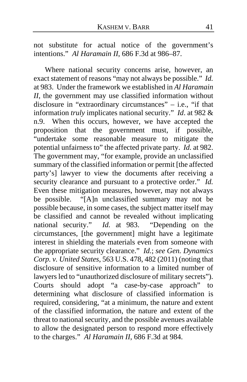not substitute for actual notice of the government's intentions." *Al Haramain II*, 686 F.3d at 986–87.

Where national security concerns arise, however, an exact statement of reasons "may not always be possible." *Id.* at 983. Under the framework we established in *Al Haramain II*, the government may use classified information without disclosure in "extraordinary circumstances" – i.e., "if that information *truly* implicates national security." *Id*. at 982 & n.9. When this occurs, however, we have accepted the proposition that the government must, if possible, "undertake some reasonable measure to mitigate the potential unfairness to" the affected private party. *Id.* at 982. The government may, "for example, provide an unclassified summary of the classified information or permit [the affected party's] lawyer to view the documents after receiving a security clearance and pursuant to a protective order." *Id.* Even these mitigation measures, however, may not always be possible. "[A]n unclassified summary may not be possible because, in some cases, the subject matter itself may be classified and cannot be revealed without implicating national security." *Id.* at 983. "Depending on the circumstances, [the government] might have a legitimate interest in shielding the materials even from someone with the appropriate security clearance." *Id.*; *see Gen. Dynamics Corp. v. United States*, 563 U.S. 478, 482 (2011) (noting that disclosure of sensitive information to a limited number of lawyers led to "unauthorized disclosure of military secrets"). Courts should adopt "a case-by-case approach" to determining what disclosure of classified information is required, considering, "at a minimum, the nature and extent of the classified information, the nature and extent of the threat to national security, and the possible avenues available to allow the designated person to respond more effectively to the charges." *Al Haramain II*, 686 F.3d at 984.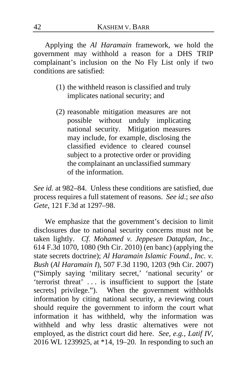Applying the *Al Haramain* framework, we hold the government may withhold a reason for a DHS TRIP complainant's inclusion on the No Fly List only if two conditions are satisfied:

- (1) the withheld reason is classified and truly implicates national security; and
- (2) reasonable mitigation measures are not possible without unduly implicating national security. Mitigation measures may include, for example, disclosing the classified evidence to cleared counsel subject to a protective order or providing the complainant an unclassified summary of the information.

*See id.* at 982–84. Unless these conditions are satisfied, due process requires a full statement of reasons. *See id*.; *see also Gete*, 121 F.3d at 1297–98.

We emphasize that the government's decision to limit disclosures due to national security concerns must not be taken lightly. *Cf. Mohamed v. Jeppesen Dataplan, Inc.*, 614 F.3d 1070, 1080 (9th Cir. 2010) (en banc) (applying the state secrets doctrine); *Al Haramain Islamic Found., Inc. v. Bush* (*Al Haramain I*), 507 F.3d 1190, 1203 (9th Cir. 2007) ("Simply saying 'military secret,' 'national security' or 'terrorist threat' . . . is insufficient to support the [state secrets] privilege."). When the government withholds information by citing national security, a reviewing court should require the government to inform the court what information it has withheld, why the information was withheld and why less drastic alternatives were not employed, as the district court did here. *See, e.g.*, *Latif IV*, 2016 WL 1239925, at \*14, 19–20. In responding to such an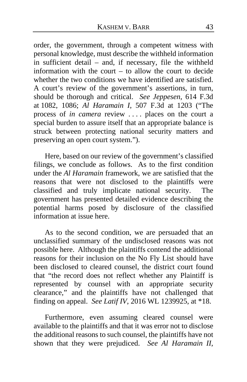order, the government, through a competent witness with personal knowledge, must describe the withheld information in sufficient detail – and, if necessary, file the withheld information with the court – to allow the court to decide whether the two conditions we have identified are satisfied. A court's review of the government's assertions, in turn, should be thorough and critical. *See Jeppesen*, 614 F.3d at 1082, 1086; *Al Haramain I*, 507 F.3d at 1203 ("The process of *in camera* review . . . . places on the court a special burden to assure itself that an appropriate balance is struck between protecting national security matters and preserving an open court system.").

Here, based on our review of the government's classified filings, we conclude as follows. As to the first condition under the *Al Haramain* framework, we are satisfied that the reasons that were not disclosed to the plaintiffs were classified and truly implicate national security. The government has presented detailed evidence describing the potential harms posed by disclosure of the classified information at issue here.

As to the second condition, we are persuaded that an unclassified summary of the undisclosed reasons was not possible here. Although the plaintiffs contend the additional reasons for their inclusion on the No Fly List should have been disclosed to cleared counsel, the district court found that "the record does not reflect whether any Plaintiff is represented by counsel with an appropriate security clearance," and the plaintiffs have not challenged that finding on appeal. *See Latif IV*, 2016 WL 1239925, at \*18.

Furthermore, even assuming cleared counsel were available to the plaintiffs and that it was error not to disclose the additional reasons to such counsel, the plaintiffs have not shown that they were prejudiced. *See Al Haramain II*,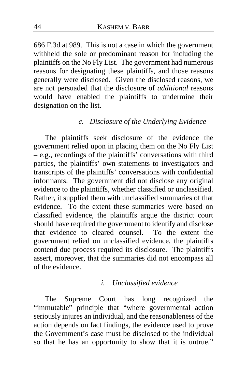686 F.3d at 989. This is not a case in which the government withheld the sole or predominant reason for including the plaintiffs on the No Fly List. The government had numerous reasons for designating these plaintiffs, and those reasons generally were disclosed. Given the disclosed reasons, we are not persuaded that the disclosure of *additional* reasons would have enabled the plaintiffs to undermine their designation on the list.

### *c. Disclosure of the Underlying Evidence*

The plaintiffs seek disclosure of the evidence the government relied upon in placing them on the No Fly List – e.g., recordings of the plaintiffs' conversations with third parties, the plaintiffs' own statements to investigators and transcripts of the plaintiffs' conversations with confidential informants. The government did not disclose any original evidence to the plaintiffs, whether classified or unclassified. Rather, it supplied them with unclassified summaries of that evidence.To the extent these summaries were based on classified evidence, the plaintiffs argue the district court should have required the government to identify and disclose that evidence to cleared counsel. To the extent the government relied on unclassified evidence, the plaintiffs contend due process required its disclosure. The plaintiffs assert, moreover, that the summaries did not encompass all of the evidence.

#### *i. Unclassified evidence*

The Supreme Court has long recognized the "immutable" principle that "where governmental action seriously injures an individual, and the reasonableness of the action depends on fact findings, the evidence used to prove the Government's case must be disclosed to the individual so that he has an opportunity to show that it is untrue."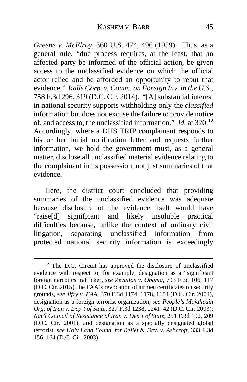*Greene v. McElroy*, 360 U.S. 474, 496 (1959). Thus, as a general rule, "due process requires, at the least, that an affected party be informed of the official action, be given access to the unclassified evidence on which the official actor relied and be afforded an opportunity to rebut that evidence." *Ralls Corp. v. Comm. on Foreign Inv. in the U.S.*, 758 F.3d 296, 319 (D.C. Cir. 2014). "[A] substantial interest in national security supports withholding only the *classified* information but does not excuse the failure to provide notice of, and access to, the unclassified information." *Id.* at 320.**[12](#page-44-0)** Accordingly, where a DHS TRIP complainant responds to his or her initial notification letter and requests further information, we hold the government must, as a general matter, disclose all unclassified material evidence relating to the complainant in its possession, not just summaries of that evidence.

Here, the district court concluded that providing summaries of the unclassified evidence was adequate because disclosure of the evidence itself would have "raise[d] significant and likely insoluble practical difficulties because, unlike the context of ordinary civil litigation, separating unclassified information from protected national security information is exceedingly

<span id="page-44-0"></span>**<sup>12</sup>** The D.C. Circuit has approved the disclosure of unclassified evidence with respect to, for example, designation as a "significant foreign narcotics trafficker, *see Zevallos v. Obama*, 793 F.3d 106, 117 (D.C. Cir. 2015), the FAA's revocation of airmen certificates on security grounds, *see Jifry v. FAA*, 370 F.3d 1174, 1178, 1184 (D.C. Cir. 2004), designation as a foreign terrorist organization, *see People's Mojahedin Org. of Iran v. Dep't of State*, 327 F.3d 1238, 1241–42 (D.C. Cir. 2003); *Nat'l Council of Resistance of Iran v. Dep't of State*, 251 F.3d 192, 209 (D.C. Cir. 2001), and designation as a specially designated global terrorist, *see Holy Land Found. for Relief & Dev. v. Ashcroft*, 333 F.3d 156, 164 (D.C. Cir. 2003).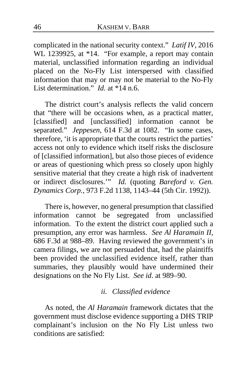complicated in the national security context." *Latif IV*, 2016 WL 1239925, at \*14. "For example, a report may contain material, unclassified information regarding an individual placed on the No-Fly List interspersed with classified information that may or may not be material to the No-Fly List determination." *Id*. at \*14 n.6.

The district court's analysis reflects the valid concern that "there will be occasions when, as a practical matter, [classified] and [unclassified] information cannot be separated." *Jeppesen*, 614 F.3d at 1082. "In some cases, therefore, 'it is appropriate that the courts restrict the parties' access not only to evidence which itself risks the disclosure of [classified information], but also those pieces of evidence or areas of questioning which press so closely upon highly sensitive material that they create a high risk of inadvertent or indirect disclosures.'" *Id.* (quoting *Bareford v. Gen. Dynamics Corp.*, 973 F.2d 1138, 1143–44 (5th Cir. 1992)).

There is, however, no general presumption that classified information cannot be segregated from unclassified information. To the extent the district court applied such a presumption, any error was harmless. *See Al Haramain II*, 686 F.3d at 988–89. Having reviewed the government's in camera filings, we are not persuaded that, had the plaintiffs been provided the unclassified evidence itself, rather than summaries, they plausibly would have undermined their designations on the No Fly List. *See id*. at 989–90.

## *ii. Classified evidence*

As noted, the *Al Haramain* framework dictates that the government must disclose evidence supporting a DHS TRIP complainant's inclusion on the No Fly List unless two conditions are satisfied: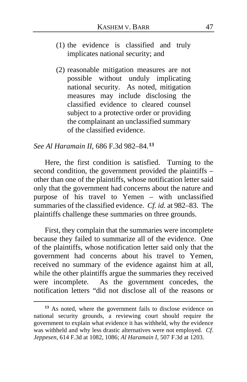- (1) the evidence is classified and truly implicates national security; and
- (2) reasonable mitigation measures are not possible without unduly implicating national security. As noted, mitigation measures may include disclosing the classified evidence to cleared counsel subject to a protective order or providing the complainant an unclassified summary of the classified evidence.

# *See Al Haramain II*, 686 F.3d 982–84.**[13](#page-46-0)**

Here, the first condition is satisfied. Turning to the second condition, the government provided the plaintiffs – other than one of the plaintiffs, whose notification letter said only that the government had concerns about the nature and purpose of his travel to Yemen – with unclassified summaries of the classified evidence. *Cf. id.* at 982–83. The plaintiffs challenge these summaries on three grounds.

First, they complain that the summaries were incomplete because they failed to summarize all of the evidence. One of the plaintiffs, whose notification letter said only that the government had concerns about his travel to Yemen, received no summary of the evidence against him at all, while the other plaintiffs argue the summaries they received were incomplete. As the government concedes, the notification letters "did not disclose all of the reasons or

<span id="page-46-0"></span>**<sup>13</sup>** As noted, where the government fails to disclose evidence on national security grounds, a reviewing court should require the government to explain what evidence it has withheld, why the evidence was withheld and why less drastic alternatives were not employed. *Cf. Jeppesen*, 614 F.3d at 1082, 1086; *Al Haramain I*, 507 F.3d at 1203.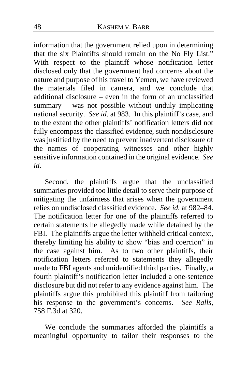information that the government relied upon in determining that the six Plaintiffs should remain on the No Fly List." With respect to the plaintiff whose notification letter disclosed only that the government had concerns about the nature and purpose of his travel to Yemen, we have reviewed the materials filed in camera, and we conclude that additional disclosure – even in the form of an unclassified summary – was not possible without unduly implicating national security. *See id*. at 983. In this plaintiff's case, and to the extent the other plaintiffs' notification letters did not fully encompass the classified evidence, such nondisclosure was justified by the need to prevent inadvertent disclosure of the names of cooperating witnesses and other highly sensitive information contained in the original evidence. *See id*.

Second, the plaintiffs argue that the unclassified summaries provided too little detail to serve their purpose of mitigating the unfairness that arises when the government relies on undisclosed classified evidence. *See id.* at 982–84. The notification letter for one of the plaintiffs referred to certain statements he allegedly made while detained by the FBI. The plaintiffs argue the letter withheld critical context, thereby limiting his ability to show "bias and coercion" in the case against him. As to two other plaintiffs, their notification letters referred to statements they allegedly made to FBI agents and unidentified third parties. Finally, a fourth plaintiff's notification letter included a one-sentence disclosure but did not refer to any evidence against him. The plaintiffs argue this prohibited this plaintiff from tailoring his response to the government's concerns. *See Ralls*, 758 F.3d at 320.

We conclude the summaries afforded the plaintiffs a meaningful opportunity to tailor their responses to the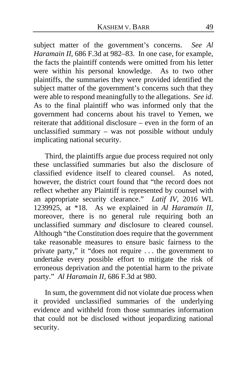subject matter of the government's concerns. *See Al Haramain II*, 686 F.3d at 982–83. In one case, for example, the facts the plaintiff contends were omitted from his letter were within his personal knowledge. As to two other plaintiffs, the summaries they were provided identified the subject matter of the government's concerns such that they were able to respond meaningfully to the allegations. *See id*. As to the final plaintiff who was informed only that the government had concerns about his travel to Yemen, we reiterate that additional disclosure – even in the form of an unclassified summary – was not possible without unduly implicating national security.

Third, the plaintiffs argue due process required not only these unclassified summaries but also the disclosure of classified evidence itself to cleared counsel. As noted, however, the district court found that "the record does not reflect whether any Plaintiff is represented by counsel with an appropriate security clearance." *Latif IV*, 2016 WL 1239925, at \*18. As we explained in *Al Haramain II*, moreover, there is no general rule requiring both an unclassified summary *and* disclosure to cleared counsel. Although "the Constitution does require that the government take reasonable measures to ensure basic fairness to the private party," it "does not require . . . the government to undertake every possible effort to mitigate the risk of erroneous deprivation and the potential harm to the private party." *Al Haramain II*, 686 F.3d at 980.

In sum, the government did not violate due process when it provided unclassified summaries of the underlying evidence and withheld from those summaries information that could not be disclosed without jeopardizing national security.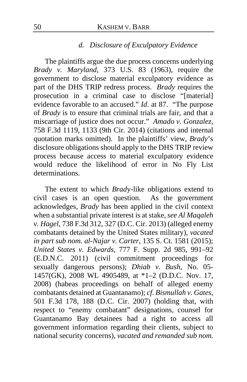#### *d. Disclosure of Exculpatory Evidence*

The plaintiffs argue the due process concerns underlying *Brady v. Maryland*, 373 U.S. 83 (1963), require the government to disclose material exculpatory evidence as part of the DHS TRIP redress process. *Brady* requires the prosecution in a criminal case to disclose "[material] evidence favorable to an accused." *Id*. at 87. "The purpose of *Brady* is to ensure that criminal trials are fair, and that a miscarriage of justice does not occur." *Amado v. Gonzalez*, 758 F.3d 1119, 1133 (9th Cir. 2014) (citations and internal quotation marks omitted). In the plaintiffs' view, *Brady*'s disclosure obligations should apply to the DHS TRIP review process because access to material exculpatory evidence would reduce the likelihood of error in No Fly List determinations.

The extent to which *Brad*y-like obligations extend to civil cases is an open question. As the government acknowledges, *Brady* has been applied in the civil context when a substantial private interest is at stake, *see Al Maqaleh v. Hagel*, 738 F.3d 312, 327 (D.C. Cir. 2013) (alleged enemy combatants detained by the United States military), *vacated in part sub nom. al-Najar v. Carter*, 135 S. Ct. 1581 (2015); *United States v. Edwards*, 777 F. Supp. 2d 985, 991–92 (E.D.N.C. 2011) (civil commitment proceedings for sexually dangerous persons); *Dhiab v. Bush*, No. 05- 1457(GK), 2008 WL 4905489, at \*1–2 (D.D.C. Nov. 17, 2008) (habeas proceedings on behalf of alleged enemy combatants detained at Guantanamo); *cf. Bismullah v. Gates*, 501 F.3d 178, 188 (D.C. Cir. 2007) (holding that, with respect to "enemy combatant" designations, counsel for Guantanamo Bay detainees had a right to access all government information regarding their clients, subject to national security concerns), *vacated and remanded sub nom.*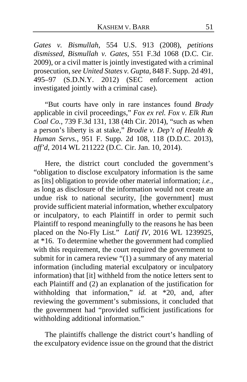*Gates v. Bismullah*, 554 U.S. 913 (2008), *petitions dismissed*, *Bismullah v. Gates*, 551 F.3d 1068 (D.C. Cir. 2009), or a civil matter is jointly investigated with a criminal prosecution, *see United States v. Gupta*, 848 F. Supp. 2d 491, 495–97 (S.D.N.Y. 2012) (SEC enforcement action investigated jointly with a criminal case).

"But courts have only in rare instances found *Brady* applicable in civil proceedings," *Fox ex rel. Fox v. Elk Run Coal Co.*, 739 F.3d 131, 138 (4th Cir. 2014), "such as when a person's liberty is at stake," *Brodie v. Dep't of Health & Human Servs.*, 951 F. Supp. 2d 108, 118 (D.D.C. 2013), *aff'd*, 2014 WL 211222 (D.C. Cir. Jan. 10, 2014).

Here, the district court concluded the government's "obligation to disclose exculpatory information is the same as [its] obligation to provide other material information; *i.e.*, as long as disclosure of the information would not create an undue risk to national security, [the government] must provide sufficient material information, whether exculpatory or inculpatory, to each Plaintiff in order to permit such Plaintiff to respond meaningfully to the reasons he has been placed on the No-Fly List." *Latif IV*, 2016 WL 1239925, at \*16. To determine whether the government had complied with this requirement, the court required the government to submit for in camera review "(1) a summary of any material information (including material exculpatory or inculpatory information) that [it] withheld from the notice letters sent to each Plaintiff and (2) an explanation of the justification for withholding that information," *id.* at \*20, and, after reviewing the government's submissions, it concluded that the government had "provided sufficient justifications for withholding additional information."

The plaintiffs challenge the district court's handling of the exculpatory evidence issue on the ground that the district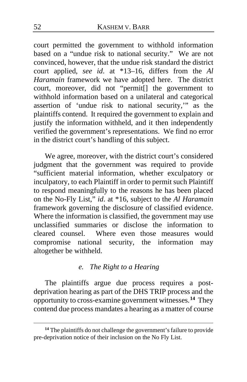court permitted the government to withhold information based on a "undue risk to national security." We are not convinced, however, that the undue risk standard the district court applied, *see id*. at \*13–16, differs from the *Al Haramain* framework we have adopted here. The district court, moreover, did not "permit[] the government to withhold information based on a unilateral and categorical assertion of 'undue risk to national security,'" as the plaintiffs contend. It required the government to explain and justify the information withheld, and it then independently verified the government's representations.We find no error in the district court's handling of this subject.

We agree, moreover, with the district court's considered judgment that the government was required to provide "sufficient material information, whether exculpatory or inculpatory, to each Plaintiff in order to permit such Plaintiff to respond meaningfully to the reasons he has been placed on the No-Fly List," *id*. at \*16, subject to the *Al Haramain*  framework governing the disclosure of classified evidence. Where the information is classified, the government may use unclassified summaries or disclose the information to cleared counsel. Where even those measures would compromise national security, the information may altogether be withheld.

## *e. The Right to a Hearing*

The plaintiffs argue due process requires a postdeprivation hearing as part of the DHS TRIP process and the opportunity to cross-examine government witnesses.**[14](#page-51-0)** They contend due process mandates a hearing as a matter of course

<span id="page-51-0"></span><sup>&</sup>lt;sup>14</sup> The plaintiffs do not challenge the government's failure to provide pre-deprivation notice of their inclusion on the No Fly List.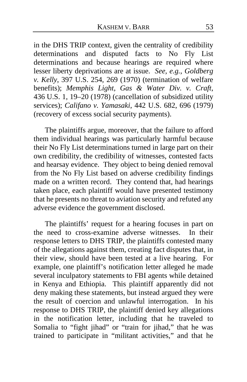in the DHS TRIP context, given the centrality of credibility determinations and disputed facts to No Fly List determinations and because hearings are required where lesser liberty deprivations are at issue. *See, e.g.*, *Goldberg v. Kelly*, 397 U.S. 254, 269 (1970) (termination of welfare benefits); *Memphis Light, Gas & Water Div. v. Craft*, 436 U.S. 1, 19–20 (1978) (cancellation of subsidized utility services); *Califano v. Yamasaki*, 442 U.S. 682, 696 (1979) (recovery of excess social security payments).

The plaintiffs argue, moreover, that the failure to afford them individual hearings was particularly harmful because their No Fly List determinations turned in large part on their own credibility, the credibility of witnesses, contested facts and hearsay evidence. They object to being denied removal from the No Fly List based on adverse credibility findings made on a written record.They contend that, had hearings taken place, each plaintiff would have presented testimony that he presents no threat to aviation security and refuted any adverse evidence the government disclosed.

The plaintiffs' request for a hearing focuses in part on the need to cross-examine adverse witnesses. In their response letters to DHS TRIP, the plaintiffs contested many of the allegations against them, creating fact disputes that, in their view, should have been tested at a live hearing. For example, one plaintiff's notification letter alleged he made several inculpatory statements to FBI agents while detained in Kenya and Ethiopia. This plaintiff apparently did not deny making these statements, but instead argued they were the result of coercion and unlawful interrogation. In his response to DHS TRIP, the plaintiff denied key allegations in the notification letter, including that he traveled to Somalia to "fight jihad" or "train for jihad," that he was trained to participate in "militant activities," and that he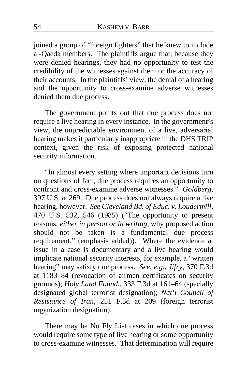joined a group of "foreign fighters" that he knew to include al-Qaeda members. The plaintiffs argue that, because they were denied hearings, they had no opportunity to test the credibility of the witnesses against them or the accuracy of their accounts.In the plaintiffs' view, the denial of a hearing and the opportunity to cross-examine adverse witnesses denied them due process.

The government points out that due process does not require a live hearing in every instance. In the government's view, the unpredictable environment of a live, adversarial hearing makes it particularly inappropriate in the DHS TRIP context, given the risk of exposing protected national security information.

"In almost every setting where important decisions turn on questions of fact, due process requires an opportunity to confront and cross-examine adverse witnesses." *Goldberg*, 397 U.S. at 269. Due process does not always require a live hearing, however. *See Cleveland Bd. of Educ. v. Loudermill*, 470 U.S. 532, 546 (1985) ("The opportunity to present reasons, *either in person or in writing*, why proposed action should not be taken is a fundamental due process requirement." (emphasis added)). Where the evidence at issue in a case is documentary and a live hearing would implicate national security interests, for example, a "written hearing" may satisfy due process. *See, e.g.*, *Jifry*, 370 F.3d at 1183–84 (revocation of airmen certificates on security grounds); *Holy Land Found.*, 333 F.3d at 161–64 (specially designated global terrorist designation); *Nat'l Council of Resistance of Iran*, 251 F.3d at 209 (foreign terrorist organization designation).

There may be No Fly List cases in which due process would require some type of live hearing or some opportunity to cross-examine witnesses. That determination will require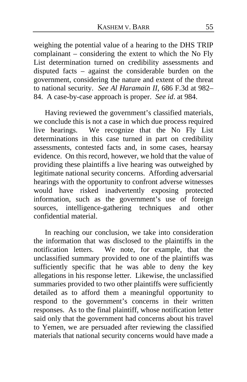weighing the potential value of a hearing to the DHS TRIP complainant – considering the extent to which the No Fly List determination turned on credibility assessments and disputed facts – against the considerable burden on the government, considering the nature and extent of the threat to national security. *See Al Haramain II*, 686 F.3d at 982– 84. A case-by-case approach is proper. *See id*. at 984.

Having reviewed the government's classified materials, we conclude this is not a case in which due process required live hearings. We recognize that the No Fly List determinations in this case turned in part on credibility assessments, contested facts and, in some cases, hearsay evidence. On this record, however, we hold that the value of providing these plaintiffs a live hearing was outweighed by legitimate national security concerns. Affording adversarial hearings with the opportunity to confront adverse witnesses would have risked inadvertently exposing protected information, such as the government's use of foreign sources, intelligence-gathering techniques and other confidential material.

In reaching our conclusion, we take into consideration the information that was disclosed to the plaintiffs in the notification letters. We note, for example, that the unclassified summary provided to one of the plaintiffs was sufficiently specific that he was able to deny the key allegations in his response letter. Likewise, the unclassified summaries provided to two other plaintiffs were sufficiently detailed as to afford them a meaningful opportunity to respond to the government's concerns in their written responses. As to the final plaintiff, whose notification letter said only that the government had concerns about his travel to Yemen, we are persuaded after reviewing the classified materials that national security concerns would have made a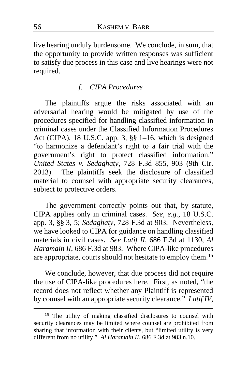live hearing unduly burdensome. We conclude, in sum, that the opportunity to provide written responses was sufficient to satisfy due process in this case and live hearings were not required.

# *f. CIPA Procedures*

The plaintiffs argue the risks associated with an adversarial hearing would be mitigated by use of the procedures specified for handling classified information in criminal cases under the Classified Information Procedures Act (CIPA), 18 U.S.C. app. 3, §§ 1–16, which is designed "to harmonize a defendant's right to a fair trial with the government's right to protect classified information." *United States v. Sedaghaty*, 728 F.3d 855, 903 (9th Cir. 2013). The plaintiffs seek the disclosure of classified material to counsel with appropriate security clearances, subject to protective orders.

The government correctly points out that, by statute, CIPA applies only in criminal cases. *See, e.g.*, 18 U.S.C. app. 3, §§ 3, 5; *Sedaghaty*, 728 F.3d at 903. Nevertheless, we have looked to CIPA for guidance on handling classified materials in civil cases. *See Latif II*, 686 F.3d at 1130; *Al Haramain II*, 686 F.3d at 983. Where CIPA-like procedures are appropriate, courts should not hesitate to employ them.**[15](#page-55-0)**

We conclude, however, that due process did not require the use of CIPA-like procedures here. First, as noted, "the record does not reflect whether any Plaintiff is represented by counsel with an appropriate security clearance." *Latif IV*,

<span id="page-55-0"></span>**<sup>15</sup>** The utility of making classified disclosures to counsel with security clearances may be limited where counsel are prohibited from sharing that information with their clients, but "limited utility is very different from no utility." *Al Haramain II*[, 686 F.3d at 983 n.10.](https://1.next.westlaw.com/Link/Document/FullText?findType=Y&serNum=2027201565&pubNum=0000506&originatingDoc=Id3c15b70f71011e5963e943a6ea61b35&refType=RP&fi=co_pp_sp_506_983&originationContext=document&transitionType=DocumentItem&contextData=(sc.UserEnteredCitation)#co_pp_sp_506_983)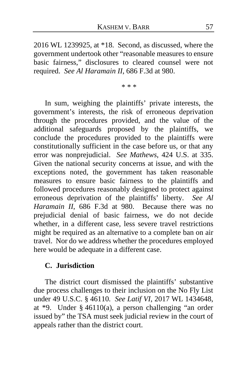2016 WL 1239925, at \*18. Second, as discussed, where the government undertook other "reasonable measures to ensure basic fairness," disclosures to cleared counsel were not required. *See Al Haramain II*, 686 F.3d at 980.

\* \* \*

In sum, weighing the plaintiffs' private interests, the government's interests, the risk of erroneous deprivation through the procedures provided, and the value of the additional safeguards proposed by the plaintiffs, we conclude the procedures provided to the plaintiffs were constitutionally sufficient in the case before us, or that any error was nonprejudicial. *See Mathews*, 424 U.S. at 335. Given the national security concerns at issue, and with the exceptions noted, the government has taken reasonable measures to ensure basic fairness to the plaintiffs and followed procedures reasonably designed to protect against erroneous deprivation of the plaintiffs' liberty. *See Al Haramain II*, 686 F.3d at 980. Because there was no prejudicial denial of basic fairness, we do not decide whether, in a different case, less severe travel restrictions might be required as an alternative to a complete ban on air travel. Nor do we address whether the procedures employed here would be adequate in a different case.

#### **C. Jurisdiction**

The district court dismissed the plaintiffs' substantive due process challenges to their inclusion on the No Fly List under 49 U.S.C. § 46110. *See Latif VI*, 2017 WL 1434648, at \*9. Under § 46110(a), a person challenging "an order issued by" the TSA must seek judicial review in the court of appeals rather than the district court.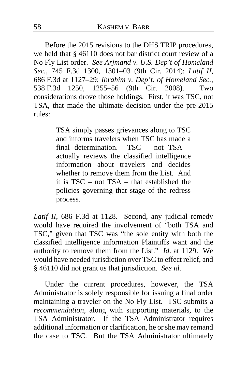Before the 2015 revisions to the DHS TRIP procedures, we held that § 46110 does not bar district court review of a No Fly List order. *See Arjmand v. U.S. Dep't of Homeland Sec.*, 745 F.3d 1300, 1301–03 (9th Cir. 2014); *Latif II*, 686 F.3d at 1127–29; *Ibrahim v. Dep't. of Homeland Sec.*, 538 F.3d 1250, 1255–56 (9th Cir. 2008). Two considerations drove those holdings. First, it was TSC, not TSA, that made the ultimate decision under the pre-2015 rules:

> TSA simply passes grievances along to TSC and informs travelers when TSC has made a final determination. TSC – not TSA – actually reviews the classified intelligence information about travelers and decides whether to remove them from the List. And it is TSC – not TSA – that established the policies governing that stage of the redress process.

*Latif II*, 686 F.3d at 1128. Second, any judicial remedy would have required the involvement of "both TSA and TSC," given that TSC was "the sole entity with both the classified intelligence information Plaintiffs want and the authority to remove them from the List." *Id*. at 1129. We would have needed jurisdiction over TSC to effect relief, and § 46110 did not grant us that jurisdiction. *See id*.

Under the current procedures, however, the TSA Administrator is solely responsible for issuing a final order maintaining a traveler on the No Fly List. TSC submits a *recommendation*, along with supporting materials, to the TSA Administrator. If the TSA Administrator requires additional information or clarification, he or she may remand the case to TSC. But the TSA Administrator ultimately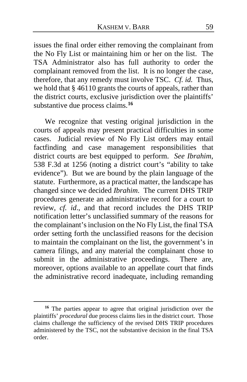issues the final order either removing the complainant from the No Fly List or maintaining him or her on the list.The TSA Administrator also has full authority to order the complainant removed from the list. It is no longer the case, therefore, that any remedy must involve TSC. *Cf. id.* Thus, we hold that § 46110 grants the courts of appeals, rather than the district courts, exclusive jurisdiction over the plaintiffs' substantive due process claims.**[16](#page-58-0)**

We recognize that vesting original jurisdiction in the courts of appeals may present practical difficulties in some cases. Judicial review of No Fly List orders may entail factfinding and case management responsibilities that district courts are best equipped to perform. *See Ibrahim*, 538 F.3d at 1256 (noting a district court's "ability to take evidence"). But we are bound by the plain language of the statute. Furthermore, as a practical matter, the landscape has changed since we decided *Ibrahim*. The current DHS TRIP procedures generate an administrative record for a court to review, *cf. id*., and that record includes the DHS TRIP notification letter's unclassified summary of the reasons for the complainant's inclusion on the No Fly List, the final TSA order setting forth the unclassified reasons for the decision to maintain the complainant on the list, the government's in camera filings, and any material the complainant chose to submit in the administrative proceedings. There are, moreover, options available to an appellate court that finds the administrative record inadequate, including remanding

<span id="page-58-0"></span>**<sup>16</sup>** The parties appear to agree that original jurisdiction over the plaintiffs' *procedural* due process claims lies in the district court. Those claims challenge the sufficiency of the revised DHS TRIP procedures administered by the TSC, not the substantive decision in the final TSA order.